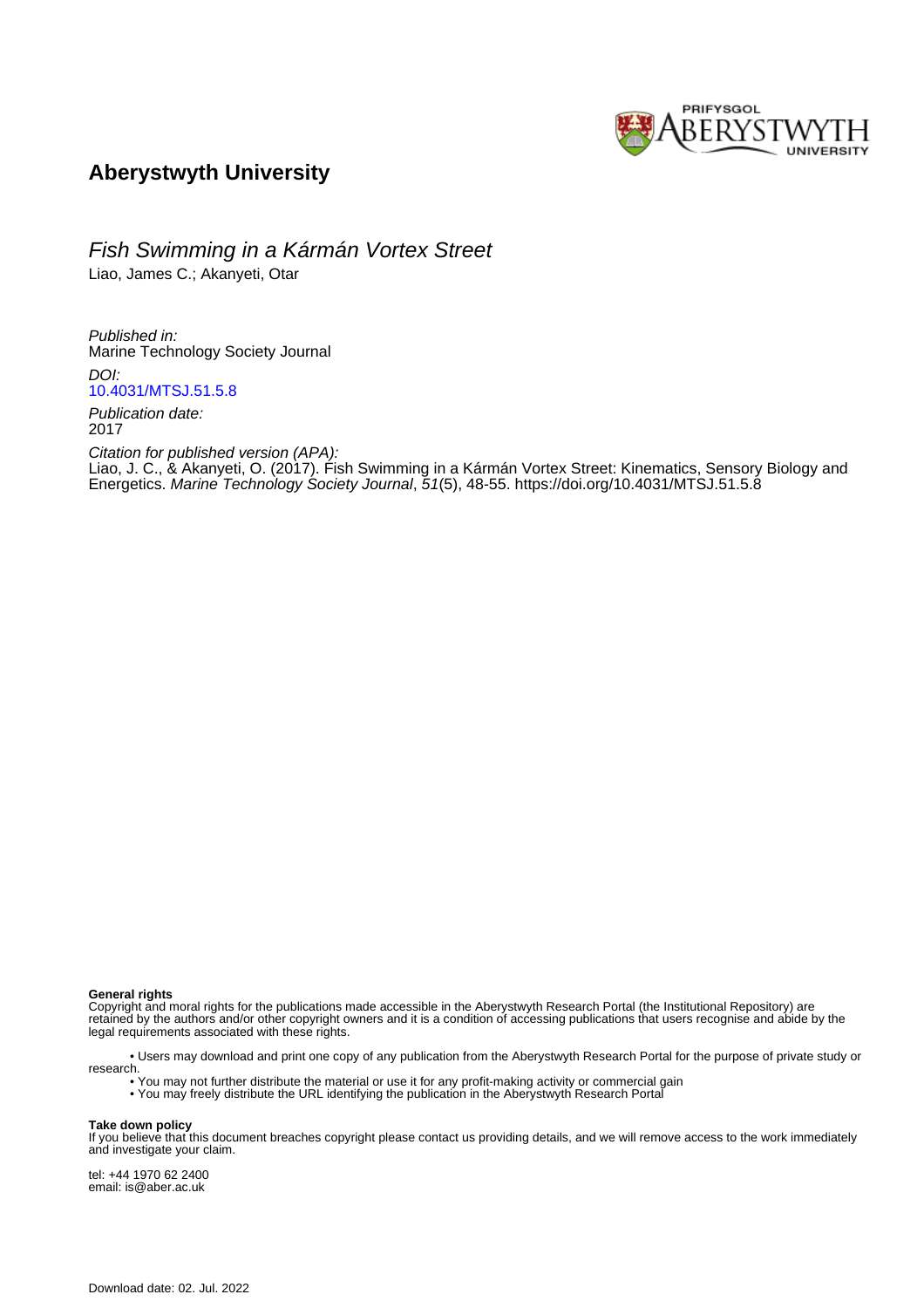

# **Aberystwyth University**

Fish Swimming in a Kármán Vortex Street

Liao, James C.; Akanyeti, Otar

Published in: Marine Technology Society Journal

DOI: [10.4031/MTSJ.51.5.8](https://doi.org/10.4031/MTSJ.51.5.8)

Publication date: 2017

Citation for published version (APA): Liao, J. C[., & Akanyeti, O.](https://pure.aber.ac.uk/portal/en/persons/otar-akanyeti(b7953bc9-8284-481f-bdac-b156d2f1ce67).html) (2017). [Fish Swimming in a Kármán Vortex Street: Kinematics, Sensory Biology and](https://pure.aber.ac.uk/portal/en/publications/fish-swimming-in-a-krmn-vortex-street(10d3fa14-2f1e-44fc-be92-353d97597da3).html) [Energetics](https://pure.aber.ac.uk/portal/en/publications/fish-swimming-in-a-krmn-vortex-street(10d3fa14-2f1e-44fc-be92-353d97597da3).html). Marine Technology Society Journal, 51(5), 48-55. <https://doi.org/10.4031/MTSJ.51.5.8>

**General rights**

Copyright and moral rights for the publications made accessible in the Aberystwyth Research Portal (the Institutional Repository) are retained by the authors and/or other copyright owners and it is a condition of accessing publications that users recognise and abide by the legal requirements associated with these rights.

 • Users may download and print one copy of any publication from the Aberystwyth Research Portal for the purpose of private study or research.

• You may not further distribute the material or use it for any profit-making activity or commercial gain

• You may freely distribute the URL identifying the publication in the Aberystwyth Research Portal

#### **Take down policy**

If you believe that this document breaches copyright please contact us providing details, and we will remove access to the work immediately and investigate your claim.

tel: +44 1970 62 2400 email: is@aber.ac.uk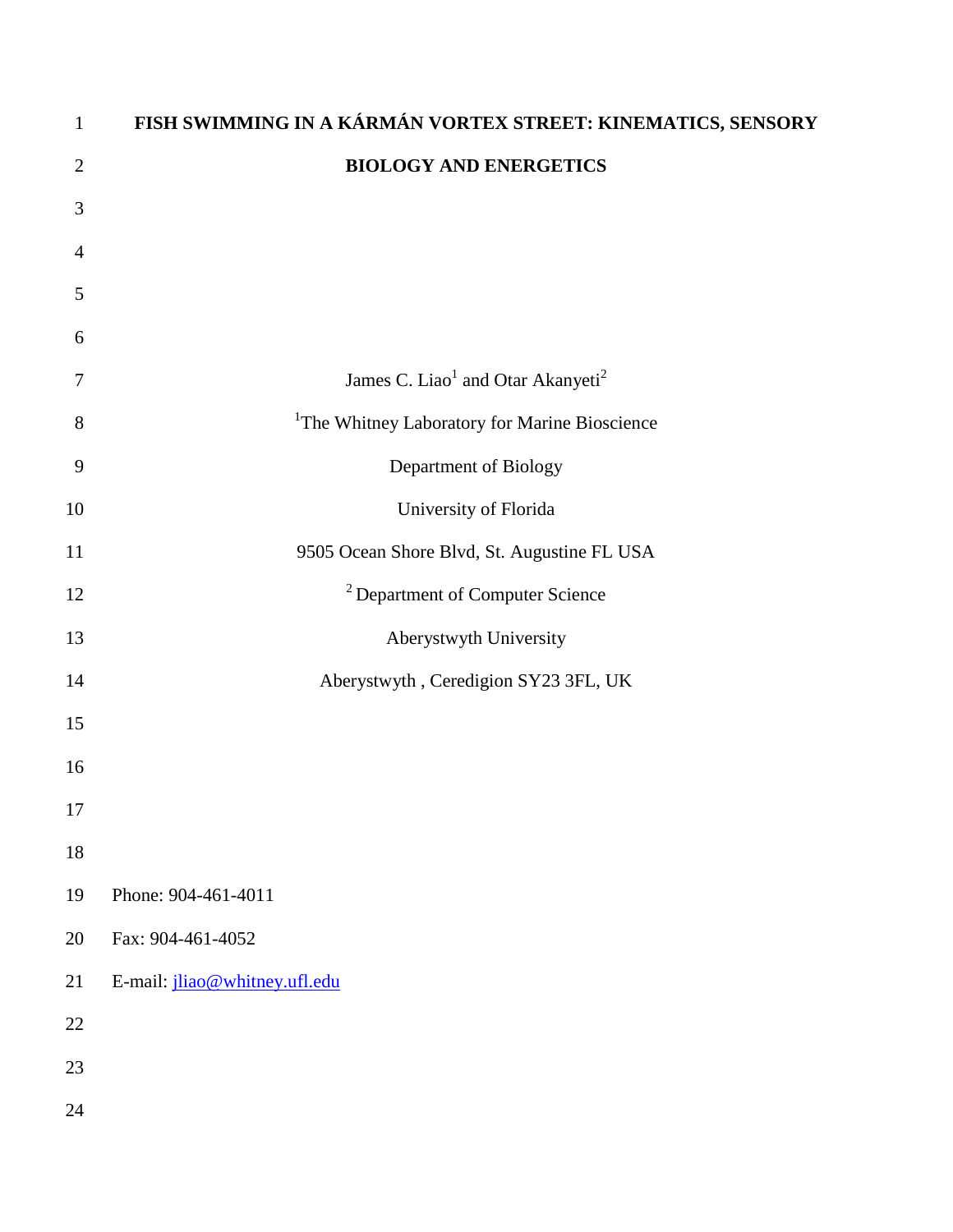| $\mathbf{1}$   | FISH SWIMMING IN A KÁRMÁN VORTEX STREET: KINEMATICS, SENSORY |
|----------------|--------------------------------------------------------------|
| $\overline{2}$ | <b>BIOLOGY AND ENERGETICS</b>                                |
| $\mathfrak{Z}$ |                                                              |
| $\overline{4}$ |                                                              |
| 5              |                                                              |
| 6              |                                                              |
| 7              | James C. Liao <sup>1</sup> and Otar Akanyeti <sup>2</sup>    |
| 8              | <sup>1</sup> The Whitney Laboratory for Marine Bioscience    |
| 9              | Department of Biology                                        |
| 10             | University of Florida                                        |
| 11             | 9505 Ocean Shore Blvd, St. Augustine FL USA                  |
| 12             | <sup>2</sup> Department of Computer Science                  |
| 13             | Aberystwyth University                                       |
| 14             | Aberystwyth, Ceredigion SY23 3FL, UK                         |
| 15             |                                                              |
| 16             |                                                              |
| 17             |                                                              |
| 18             |                                                              |
| 19             | Phone: 904-461-4011                                          |
| 20             | Fax: 904-461-4052                                            |
| 21             | E-mail: jliao@whitney.ufl.edu                                |
| 22             |                                                              |
| 23             |                                                              |
| 24             |                                                              |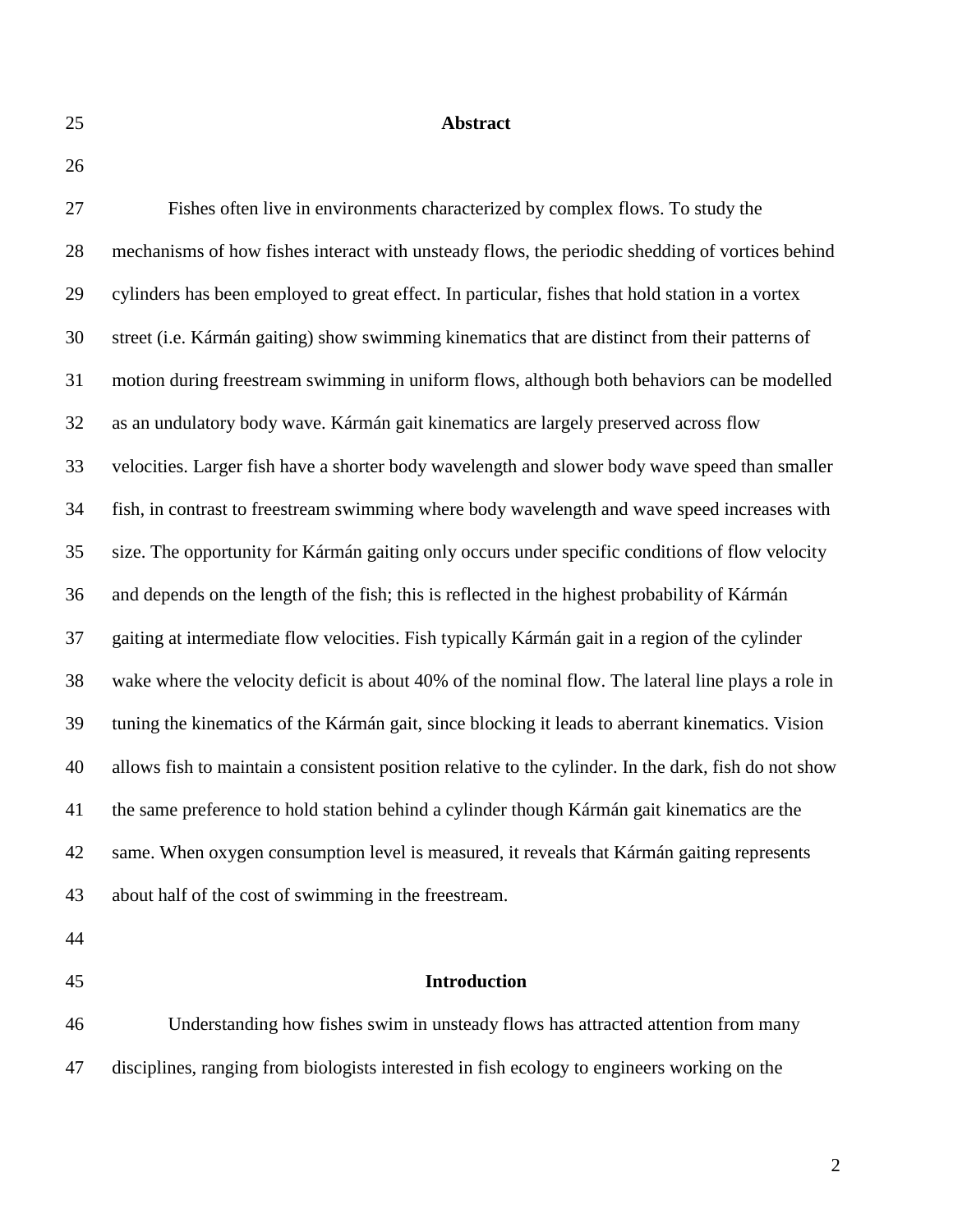#### **Abstract**

 Fishes often live in environments characterized by complex flows. To study the mechanisms of how fishes interact with unsteady flows, the periodic shedding of vortices behind cylinders has been employed to great effect. In particular, fishes that hold station in a vortex street (i.e. Kármán gaiting) show swimming kinematics that are distinct from their patterns of motion during freestream swimming in uniform flows, although both behaviors can be modelled as an undulatory body wave. Kármán gait kinematics are largely preserved across flow velocities. Larger fish have a shorter body wavelength and slower body wave speed than smaller fish, in contrast to freestream swimming where body wavelength and wave speed increases with size. The opportunity for Kármán gaiting only occurs under specific conditions of flow velocity and depends on the length of the fish; this is reflected in the highest probability of Kármán gaiting at intermediate flow velocities. Fish typically Kármán gait in a region of the cylinder wake where the velocity deficit is about 40% of the nominal flow. The lateral line plays a role in tuning the kinematics of the Kármán gait, since blocking it leads to aberrant kinematics. Vision allows fish to maintain a consistent position relative to the cylinder. In the dark, fish do not show the same preference to hold station behind a cylinder though Kármán gait kinematics are the same. When oxygen consumption level is measured, it reveals that Kármán gaiting represents about half of the cost of swimming in the freestream.

- 
- 

**Introduction**

 Understanding how fishes swim in unsteady flows has attracted attention from many disciplines, ranging from biologists interested in fish ecology to engineers working on the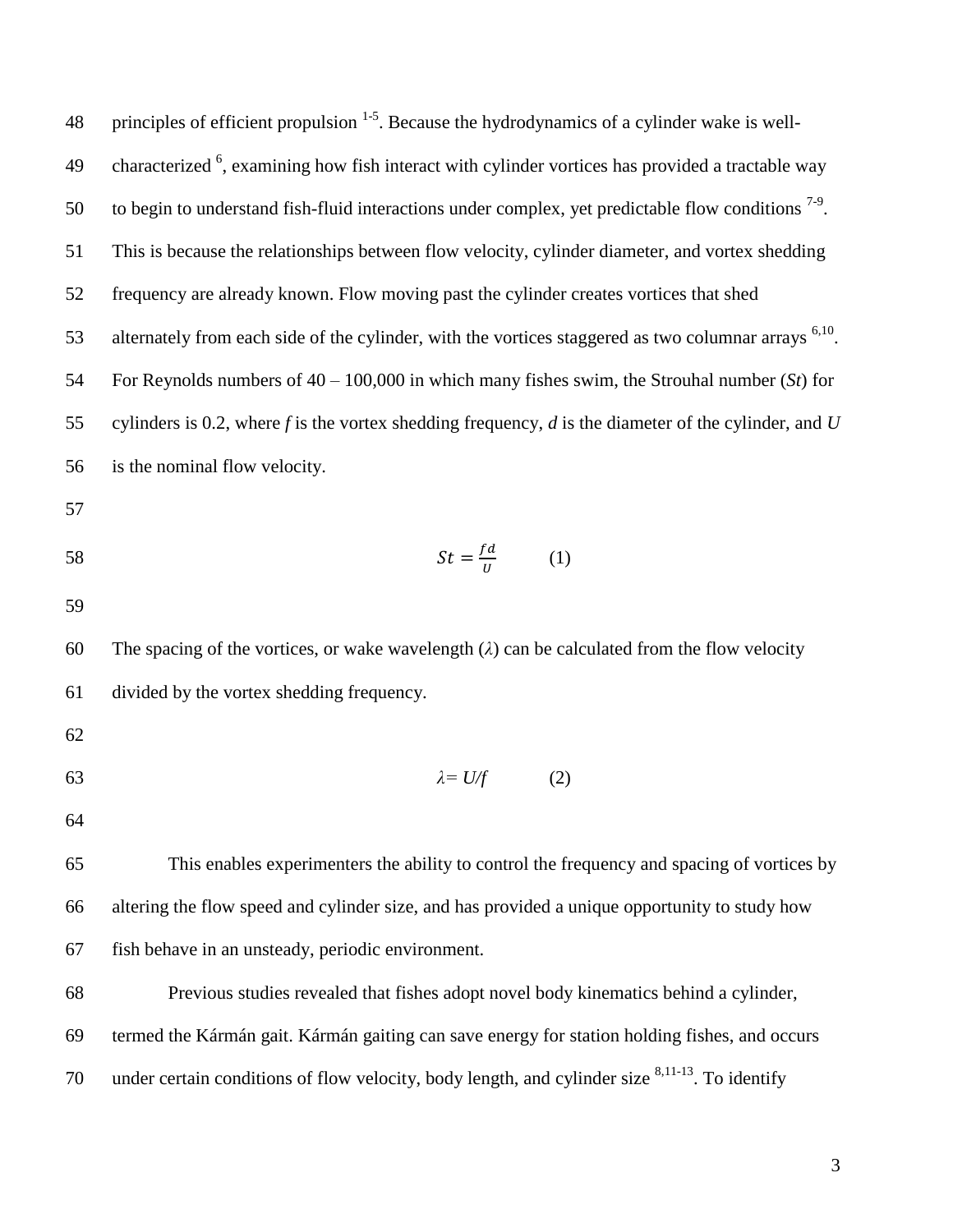| 48 | principles of efficient propulsion $1-5$ . Because the hydrodynamics of a cylinder wake is well-                 |
|----|------------------------------------------------------------------------------------------------------------------|
| 49 | characterized <sup>6</sup> , examining how fish interact with cylinder vortices has provided a tractable way     |
| 50 | to begin to understand fish-fluid interactions under complex, yet predictable flow conditions $7-9$ .            |
| 51 | This is because the relationships between flow velocity, cylinder diameter, and vortex shedding                  |
| 52 | frequency are already known. Flow moving past the cylinder creates vortices that shed                            |
| 53 | alternately from each side of the cylinder, with the vortices staggered as two columnar arrays <sup>6,10</sup> . |
| 54 | For Reynolds numbers of $40 - 100,000$ in which many fishes swim, the Strouhal number (St) for                   |
| 55 | cylinders is 0.2, where f is the vortex shedding frequency, $d$ is the diameter of the cylinder, and U           |
| 56 | is the nominal flow velocity.                                                                                    |
| 57 |                                                                                                                  |
| 58 | $St = \frac{fd}{H}$ (1)                                                                                          |
| 59 |                                                                                                                  |
| 60 | The spacing of the vortices, or wake wavelength $(\lambda)$ can be calculated from the flow velocity             |
| 61 | divided by the vortex shedding frequency.                                                                        |
| 62 |                                                                                                                  |
| 63 | $\lambda = U/f$<br>(2)                                                                                           |
| 64 |                                                                                                                  |
| 65 | This enables experimenters the ability to control the frequency and spacing of vortices by                       |
| 66 | altering the flow speed and cylinder size, and has provided a unique opportunity to study how                    |
| 67 | fish behave in an unsteady, periodic environment.                                                                |
| 68 | Previous studies revealed that fishes adopt novel body kinematics behind a cylinder,                             |
| 69 | termed the Kármán gait. Kármán gaiting can save energy for station holding fishes, and occurs                    |
| 70 | under certain conditions of flow velocity, body length, and cylinder size <sup>8,11-13</sup> . To identify       |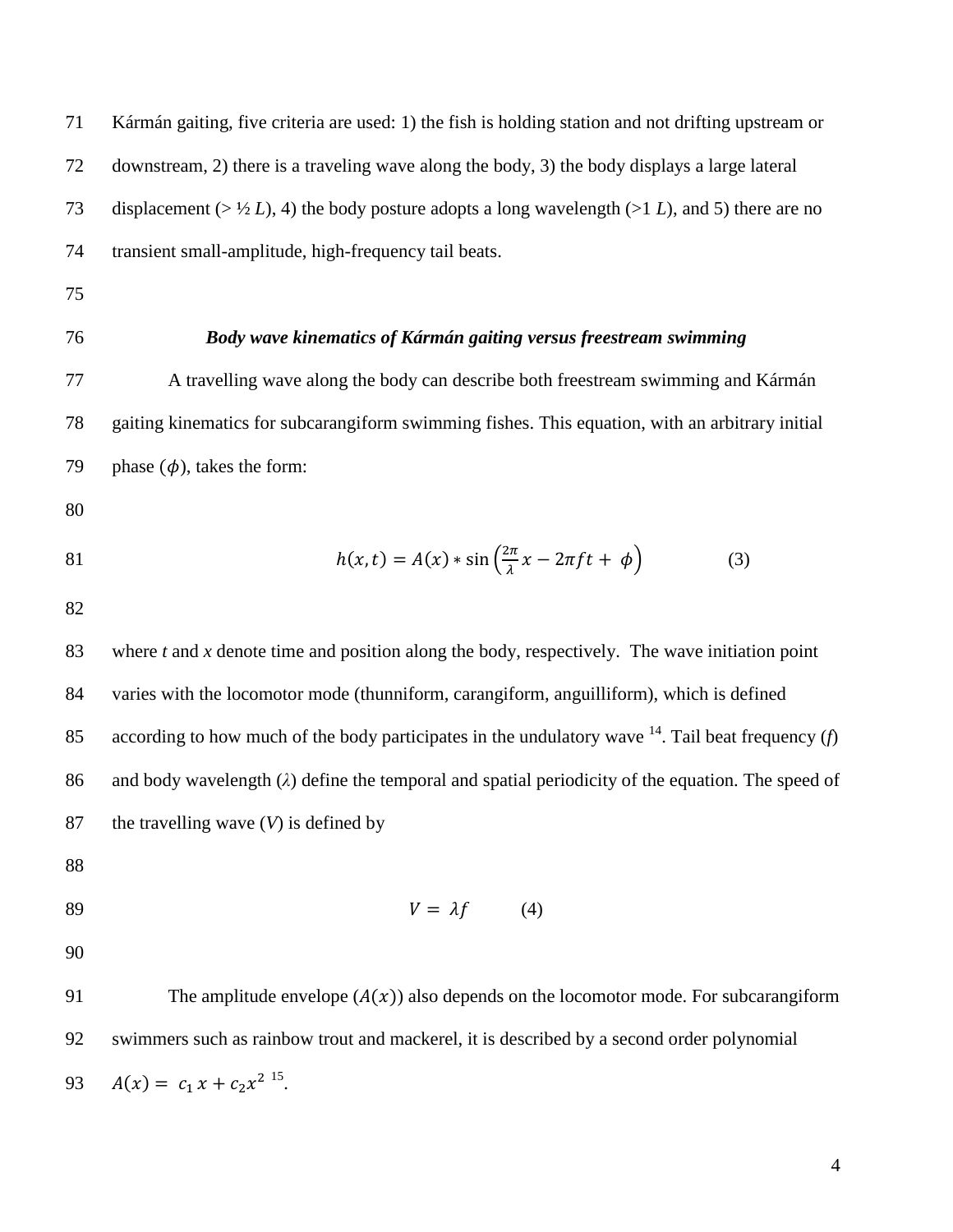Kármán gaiting, five criteria are used: 1) the fish is holding station and not drifting upstream or downstream, 2) there is a traveling wave along the body, 3) the body displays a large lateral displacement (> ½ *L*), 4) the body posture adopts a long wavelength (>1 *L*), and 5) there are no transient small-amplitude, high-frequency tail beats. *Body wave kinematics of Kármán gaiting versus freestream swimming* A travelling wave along the body can describe both freestream swimming and Kármán

 gaiting kinematics for subcarangiform swimming fishes. This equation, with an arbitrary initial 79 phase  $(\phi)$ , takes the form:

81 
$$
h(x,t) = A(x) * \sin\left(\frac{2\pi}{\lambda}x - 2\pi ft + \phi\right)
$$
 (3)

 where *t* and *x* denote time and position along the body, respectively. The wave initiation point varies with the locomotor mode (thunniform, carangiform, anguilliform), which is defined according to how much of the body participates in the undulatory wave . Tail beat frequency (*f*) and body wavelength (*λ*) define the temporal and spatial periodicity of the equation. The speed of 87 the travelling wave  $(V)$  is defined by

89  $V = \lambda f$  (4)

91 The amplitude envelope  $(A(x))$  also depends on the locomotor mode. For subcarangiform swimmers such as rainbow trout and mackerel, it is described by a second order polynomial 93  $A(x) = c_1 x + c_2 x^2$  <sup>[15](#page-22-7)</sup>.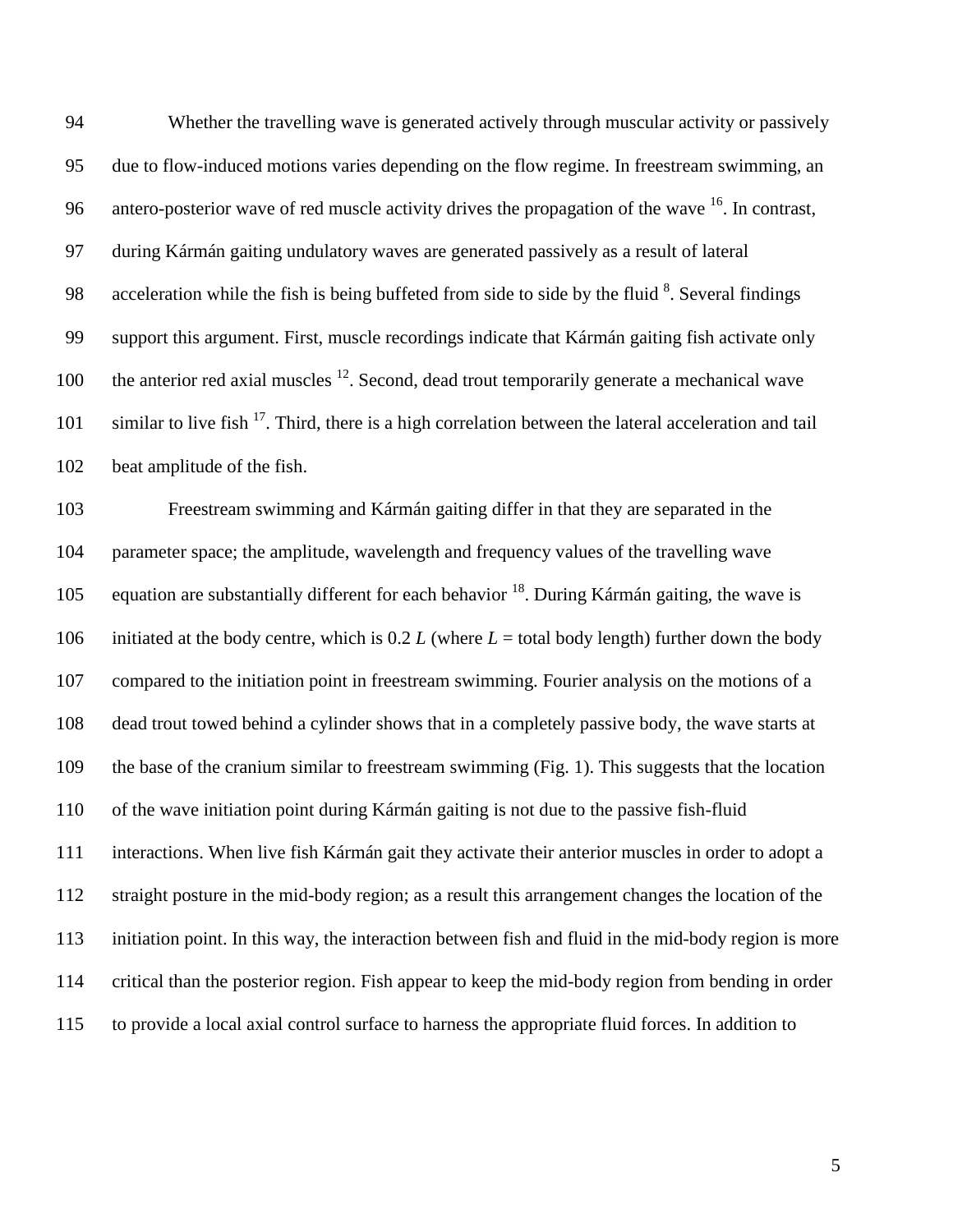Whether the travelling wave is generated actively through muscular activity or passively due to flow-induced motions varies depending on the flow regime. In freestream swimming, an 96 antero-posterior wave of red muscle activity drives the propagation of the wave  $^{16}$  $^{16}$  $^{16}$ . In contrast, during Kármán gaiting undulatory waves are generated passively as a result of lateral 98 acceleration while the fish is being buffeted from side to side by the fluid [.](#page-22-4) Several findings support this argument. First, muscle recordings indicate that Kármán gaiting fish activate only 100 the anterior red axial muscles  $^{12}$  $^{12}$  $^{12}$ . Second, dead trout temporarily generate a mechanical wave 101 similar to live fish . Third, there is a high correlation between the lateral acceleration and tail beat amplitude of the fish.

 Freestream swimming and Kármán gaiting differ in that they are separated in the parameter space; the amplitude, wavelength and frequency values of the travelling wave 105 equation are substantially different for each behavior  $^{18}$  $^{18}$  $^{18}$ . During Kármán gaiting, the wave is 106 initiated at the body centre, which is 0.2  $L$  (where  $L =$  total body length) further down the body compared to the initiation point in freestream swimming. Fourier analysis on the motions of a dead trout towed behind a cylinder shows that in a completely passive body, the wave starts at the base of the cranium similar to freestream swimming (Fig. 1). This suggests that the location of the wave initiation point during Kármán gaiting is not due to the passive fish-fluid interactions. When live fish Kármán gait they activate their anterior muscles in order to adopt a straight posture in the mid-body region; as a result this arrangement changes the location of the initiation point. In this way, the interaction between fish and fluid in the mid-body region is more critical than the posterior region. Fish appear to keep the mid-body region from bending in order to provide a local axial control surface to harness the appropriate fluid forces. In addition to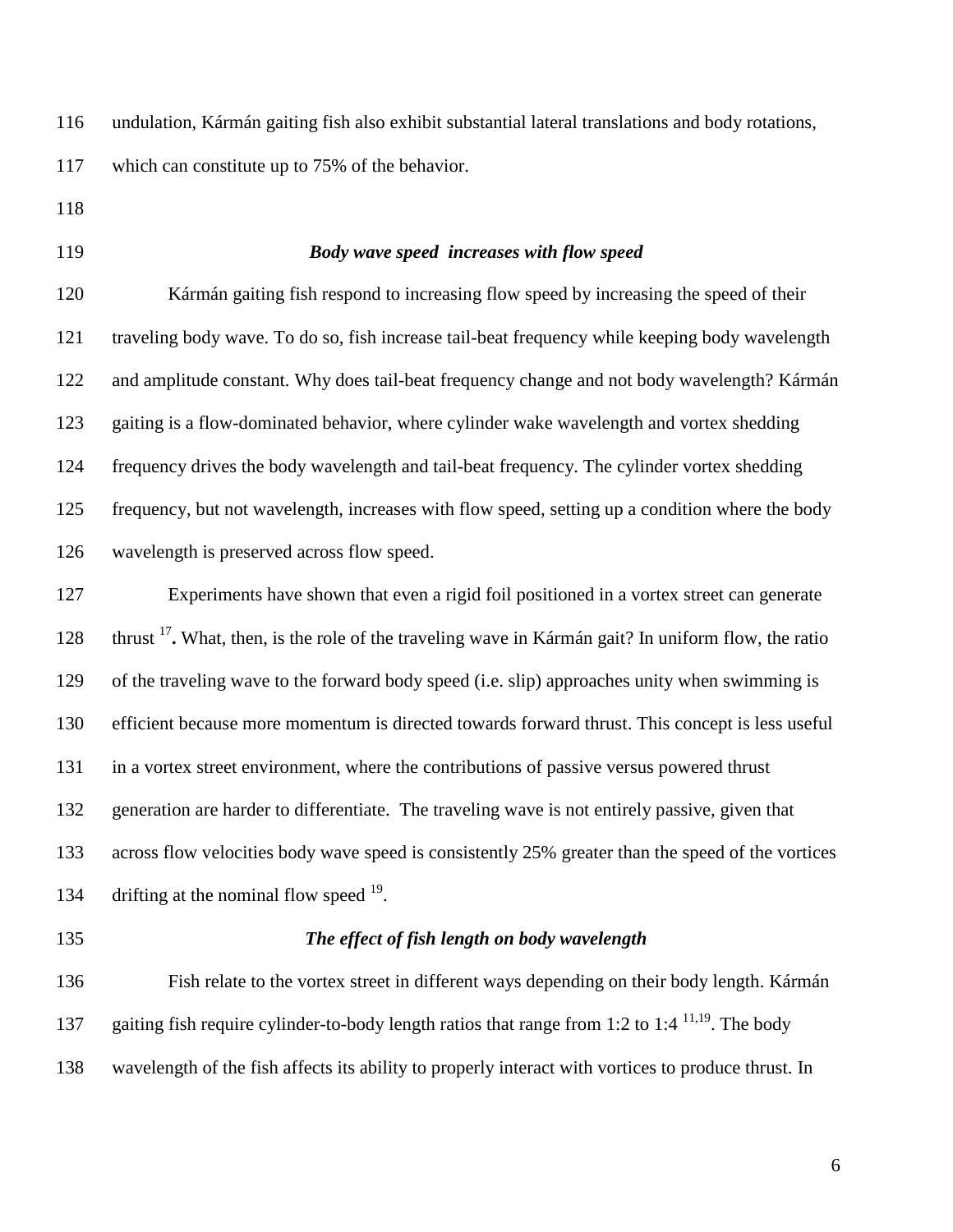undulation, Kármán gaiting fish also exhibit substantial lateral translations and body rotations, which can constitute up to 75% of the behavior.

- 
- 

## *Body wave speed increases with flow speed*

 Kármán gaiting fish respond to increasing flow speed by increasing the speed of their traveling body wave. To do so, fish increase tail-beat frequency while keeping body wavelength and amplitude constant. Why does tail-beat frequency change and not body wavelength? Kármán gaiting is a flow-dominated behavior, where cylinder wake wavelength and vortex shedding frequency drives the body wavelength and tail-beat frequency. The cylinder vortex shedding frequency, but not wavelength, increases with flow speed, setting up a condition where the body wavelength is preserved across flow speed.

 Experiments have shown that even a rigid foil positioned in a vortex street can generate thrust [17](#page-23-0) **.** What, then, is the role of the traveling wave in Kármán gait? In uniform flow, the ratio of the traveling wave to the forward body speed (i.e. slip) approaches unity when swimming is efficient because more momentum is directed towards forward thrust. This concept is less useful in a vortex street environment, where the contributions of passive versus powered thrust generation are harder to differentiate. The traveling wave is not entirely passive, given that across flow velocities body wave speed is consistently 25% greater than the speed of the vortices 134 drifting at the nominal flow speed .

#### *The effect of fish length on body wavelength*

 Fish relate to the vortex street in different ways depending on their body length. Kármán 137 gaiting fish require cylinder-to-body length ratios that range from 1:2 to 1:4  $^{11,19}$  $^{11,19}$  $^{11,19}$  $^{11,19}$ . The body wavelength of the fish affects its ability to properly interact with vortices to produce thrust. In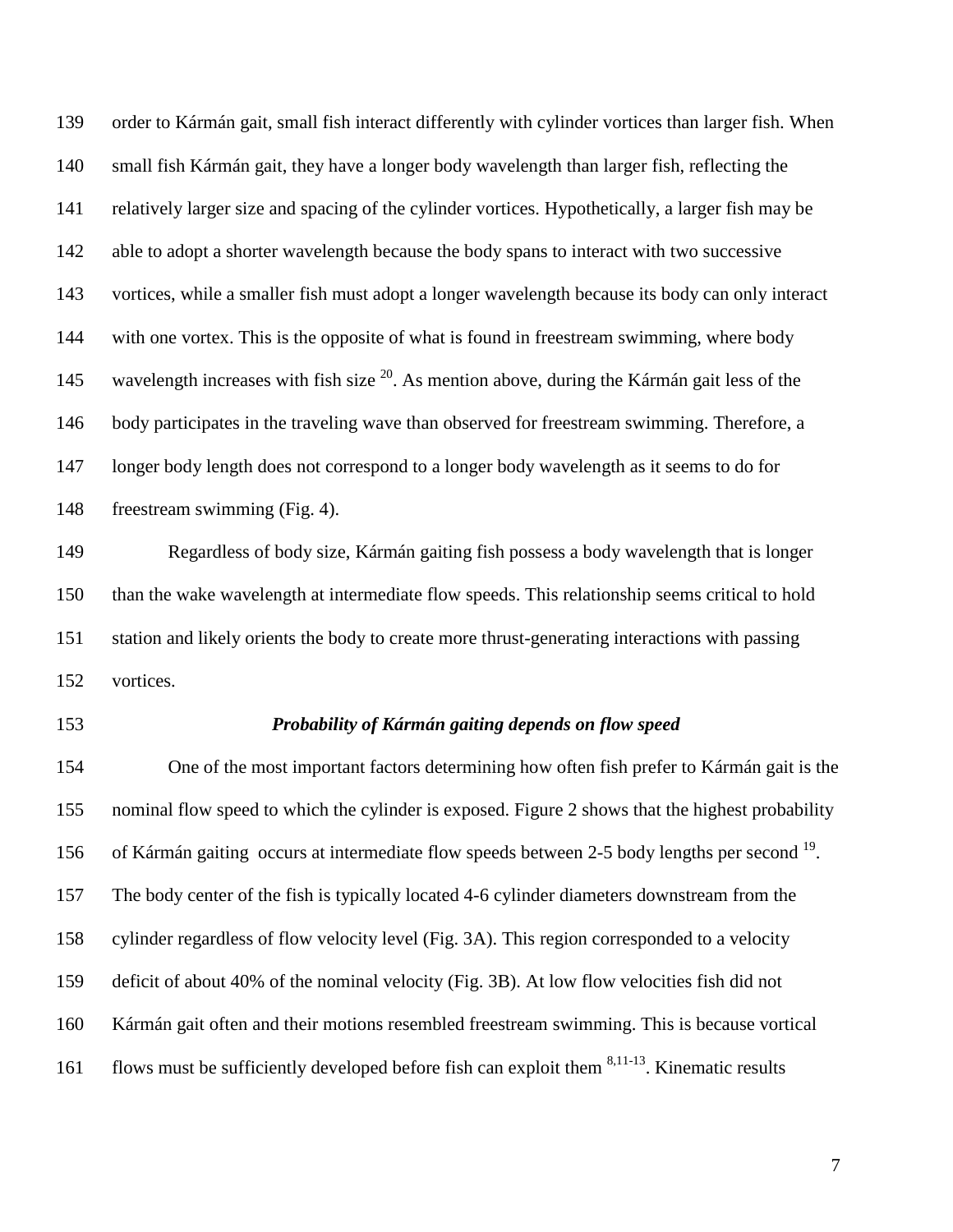order to Kármán gait, small fish interact differently with cylinder vortices than larger fish. When small fish Kármán gait, they have a longer body wavelength than larger fish, reflecting the relatively larger size and spacing of the cylinder vortices. Hypothetically, a larger fish may be able to adopt a shorter wavelength because the body spans to interact with two successive vortices, while a smaller fish must adopt a longer wavelength because its body can only interact with one vortex. This is the opposite of what is found in freestream swimming, where body 145 wavelength increases with fish size . As mention above, during the Kármán gait less of the body participates in the traveling wave than observed for freestream swimming. Therefore, a longer body length does not correspond to a longer body wavelength as it seems to do for freestream swimming (Fig. 4).

 Regardless of body size, Kármán gaiting fish possess a body wavelength that is longer than the wake wavelength at intermediate flow speeds. This relationship seems critical to hold station and likely orients the body to create more thrust-generating interactions with passing vortices.

#### *Probability of Kármán gaiting depends on flow speed*

 One of the most important factors determining how often fish prefer to Kármán gait is the nominal flow speed to which the cylinder is exposed. Figure 2 shows that the highest probability 156 of Kármán gaiting occurs at intermediate flow speeds between 2-5 body lengths per second <sup>[19](#page-23-2)</sup>. The body center of the fish is typically located 4-6 cylinder diameters downstream from the cylinder regardless of flow velocity level (Fig. 3A). This region corresponded to a velocity deficit of about 40% of the nominal velocity (Fig. 3B). At low flow velocities fish did not Kármán gait often and their motions resembled freestream swimming. This is because vortical 161 flows must be sufficiently developed before fish can exploit them  $8,11-13$ . Kinematic results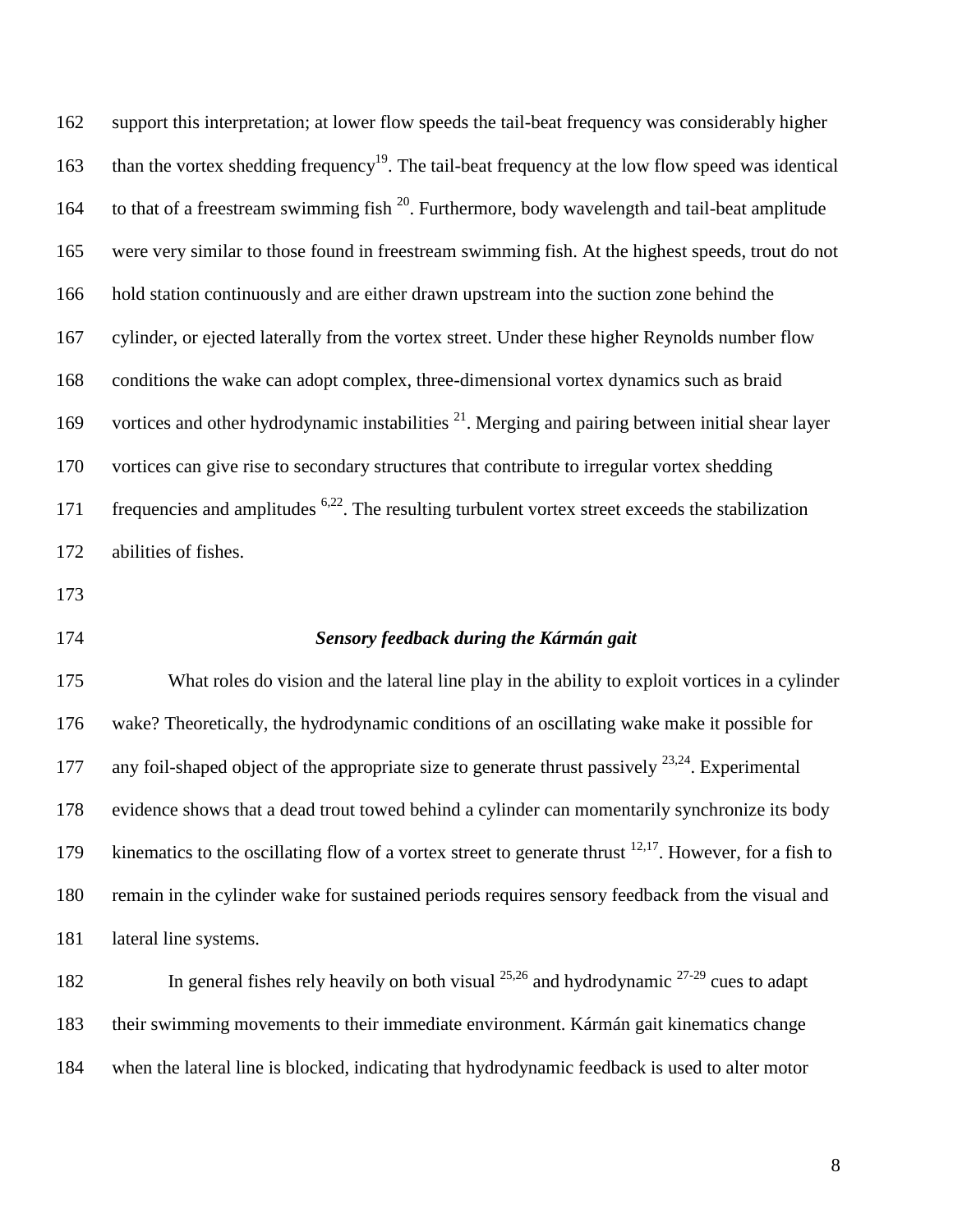| 162        | support this interpretation; at lower flow speeds the tail-beat frequency was considerably higher              |
|------------|----------------------------------------------------------------------------------------------------------------|
| 163        | than the vortex shedding frequency <sup>19</sup> . The tail-beat frequency at the low flow speed was identical |
| 164        | to that of a freestream swimming fish <sup>20</sup> . Furthermore, body wavelength and tail-beat amplitude     |
| 165        | were very similar to those found in freestream swimming fish. At the highest speeds, trout do not              |
| 166        | hold station continuously and are either drawn upstream into the suction zone behind the                       |
| 167        | cylinder, or ejected laterally from the vortex street. Under these higher Reynolds number flow                 |
| 168        | conditions the wake can adopt complex, three-dimensional vortex dynamics such as braid                         |
| 169        | vortices and other hydrodynamic instabilities <sup>21</sup> . Merging and pairing between initial shear layer  |
| 170        | vortices can give rise to secondary structures that contribute to irregular vortex shedding                    |
| 171        | frequencies and amplitudes $6,22$ . The resulting turbulent vortex street exceeds the stabilization            |
| 172        | abilities of fishes.                                                                                           |
| 173        |                                                                                                                |
| 174        | Sensory feedback during the Kármán gait                                                                        |
| 175        | What roles do vision and the lateral line play in the ability to exploit vortices in a cylinder                |
| 176        |                                                                                                                |
|            | wake? Theoretically, the hydrodynamic conditions of an oscillating wake make it possible for                   |
| 177        | any foil-shaped object of the appropriate size to generate thrust passively <sup>23,24</sup> . Experimental    |
|            | evidence shows that a dead trout towed behind a cylinder can momentarily synchronize its body                  |
| 179        | kinematics to the oscillating flow of a vortex street to generate thrust $12,17$ . However, for a fish to      |
| 178<br>180 | remain in the cylinder wake for sustained periods requires sensory feedback from the visual and                |
| 181        | lateral line systems.                                                                                          |
| 182        | In general fishes rely heavily on both visual $^{25,26}$ and hydrodynamic $^{27-29}$ cues to adapt             |
| 183        | their swimming movements to their immediate environment. Kármán gait kinematics change                         |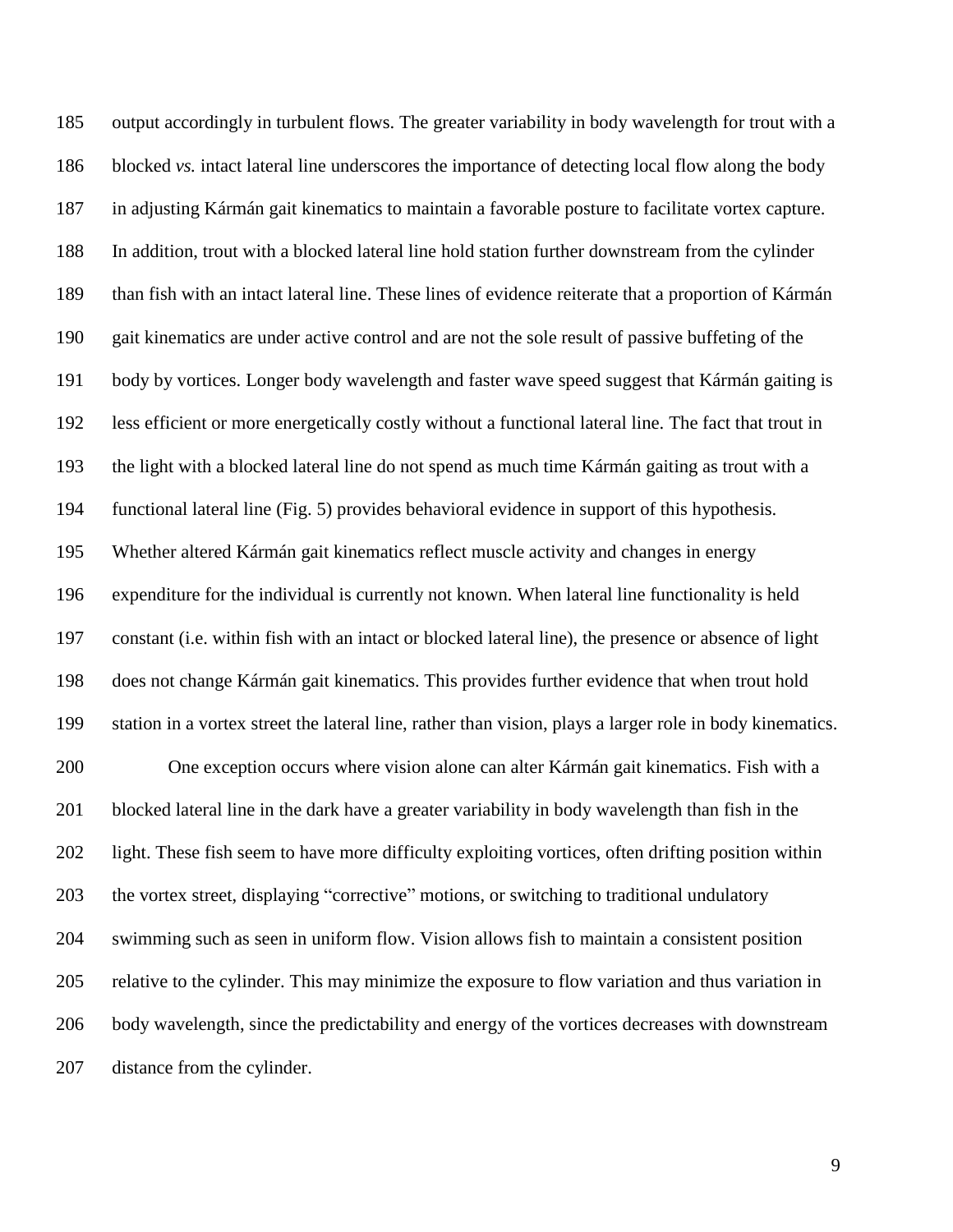output accordingly in turbulent flows. The greater variability in body wavelength for trout with a blocked *vs.* intact lateral line underscores the importance of detecting local flow along the body in adjusting Kármán gait kinematics to maintain a favorable posture to facilitate vortex capture. In addition, trout with a blocked lateral line hold station further downstream from the cylinder than fish with an intact lateral line. These lines of evidence reiterate that a proportion of Kármán gait kinematics are under active control and are not the sole result of passive buffeting of the body by vortices. Longer body wavelength and faster wave speed suggest that Kármán gaiting is less efficient or more energetically costly without a functional lateral line. The fact that trout in the light with a blocked lateral line do not spend as much time Kármán gaiting as trout with a functional lateral line (Fig. 5) provides behavioral evidence in support of this hypothesis. Whether altered Kármán gait kinematics reflect muscle activity and changes in energy expenditure for the individual is currently not known. When lateral line functionality is held constant (i.e. within fish with an intact or blocked lateral line), the presence or absence of light does not change Kármán gait kinematics. This provides further evidence that when trout hold station in a vortex street the lateral line, rather than vision, plays a larger role in body kinematics. One exception occurs where vision alone can alter Kármán gait kinematics. Fish with a blocked lateral line in the dark have a greater variability in body wavelength than fish in the light. These fish seem to have more difficulty exploiting vortices, often drifting position within the vortex street, displaying "corrective" motions, or switching to traditional undulatory swimming such as seen in uniform flow. Vision allows fish to maintain a consistent position relative to the cylinder. This may minimize the exposure to flow variation and thus variation in body wavelength, since the predictability and energy of the vortices decreases with downstream distance from the cylinder.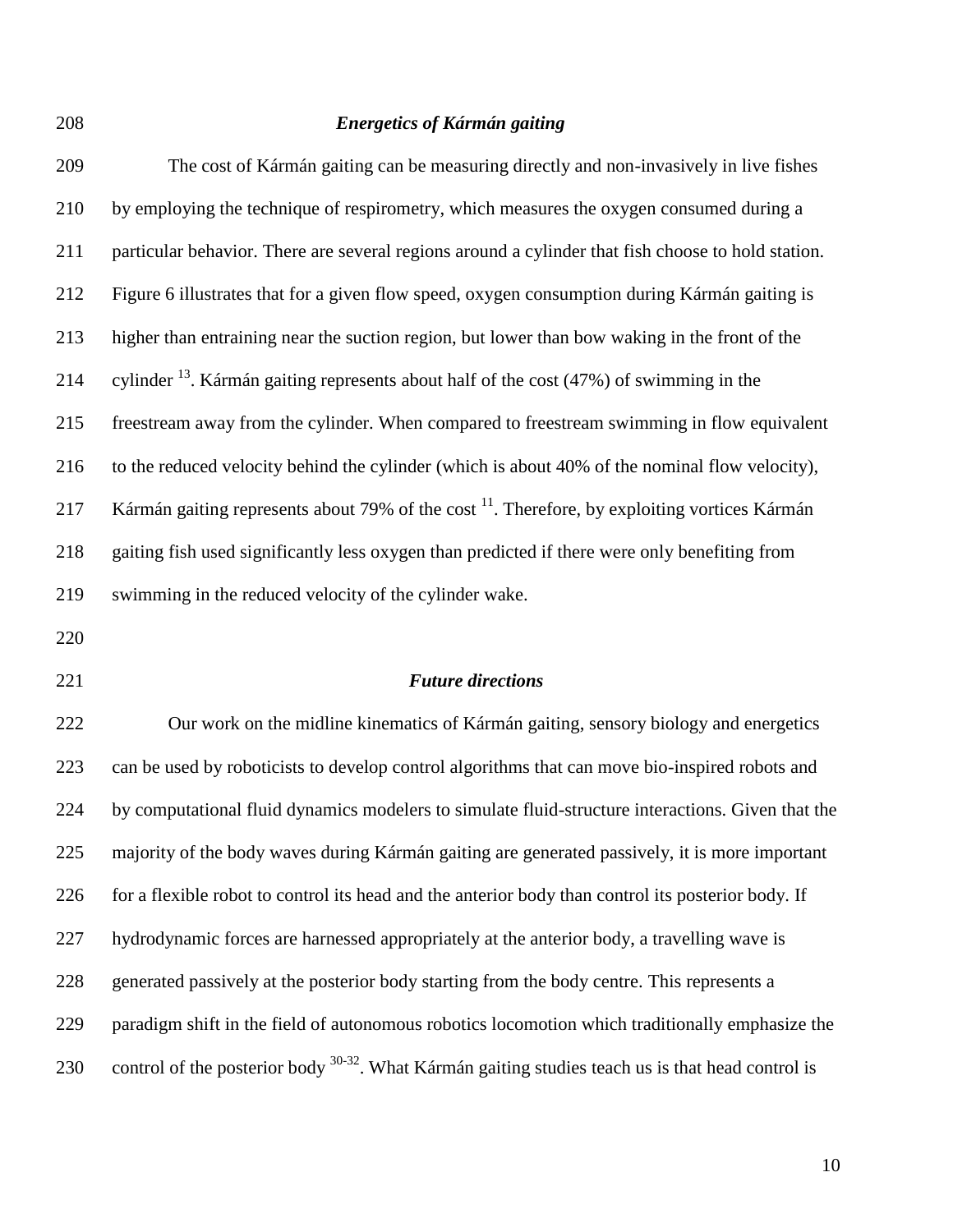## *Energetics of Kármán gaiting*

| 209 | The cost of Kármán gaiting can be measuring directly and non-invasively in live fishes             |
|-----|----------------------------------------------------------------------------------------------------|
| 210 | by employing the technique of respirometry, which measures the oxygen consumed during a            |
| 211 | particular behavior. There are several regions around a cylinder that fish choose to hold station. |
| 212 | Figure 6 illustrates that for a given flow speed, oxygen consumption during Kármán gaiting is      |
| 213 | higher than entraining near the suction region, but lower than bow waking in the front of the      |
| 214 | cylinder $^{13}$ . Kármán gaiting represents about half of the cost (47%) of swimming in the       |
| 215 | freestream away from the cylinder. When compared to freestream swimming in flow equivalent         |
| 216 | to the reduced velocity behind the cylinder (which is about 40% of the nominal flow velocity),     |
| 217 | Kármán gaiting represents about 79% of the cost $^{11}$ . Therefore, by exploiting vortices Kármán |
| 218 | gaiting fish used significantly less oxygen than predicted if there were only benefiting from      |
| 219 | swimming in the reduced velocity of the cylinder wake.                                             |

#### *Future directions*

 Our work on the midline kinematics of Kármán gaiting, sensory biology and energetics can be used by roboticists to develop control algorithms that can move bio-inspired robots and by computational fluid dynamics modelers to simulate fluid-structure interactions. Given that the majority of the body waves during Kármán gaiting are generated passively, it is more important for a flexible robot to control its head and the anterior body than control its posterior body. If hydrodynamic forces are harnessed appropriately at the anterior body, a travelling wave is generated passively at the posterior body starting from the body centre. This represents a paradigm shift in the field of autonomous robotics locomotion which traditionally emphasize the 230 control of the posterior body <sup>[30-32](#page-23-11)</sup>. What Kármán gaiting studies teach us is that head control is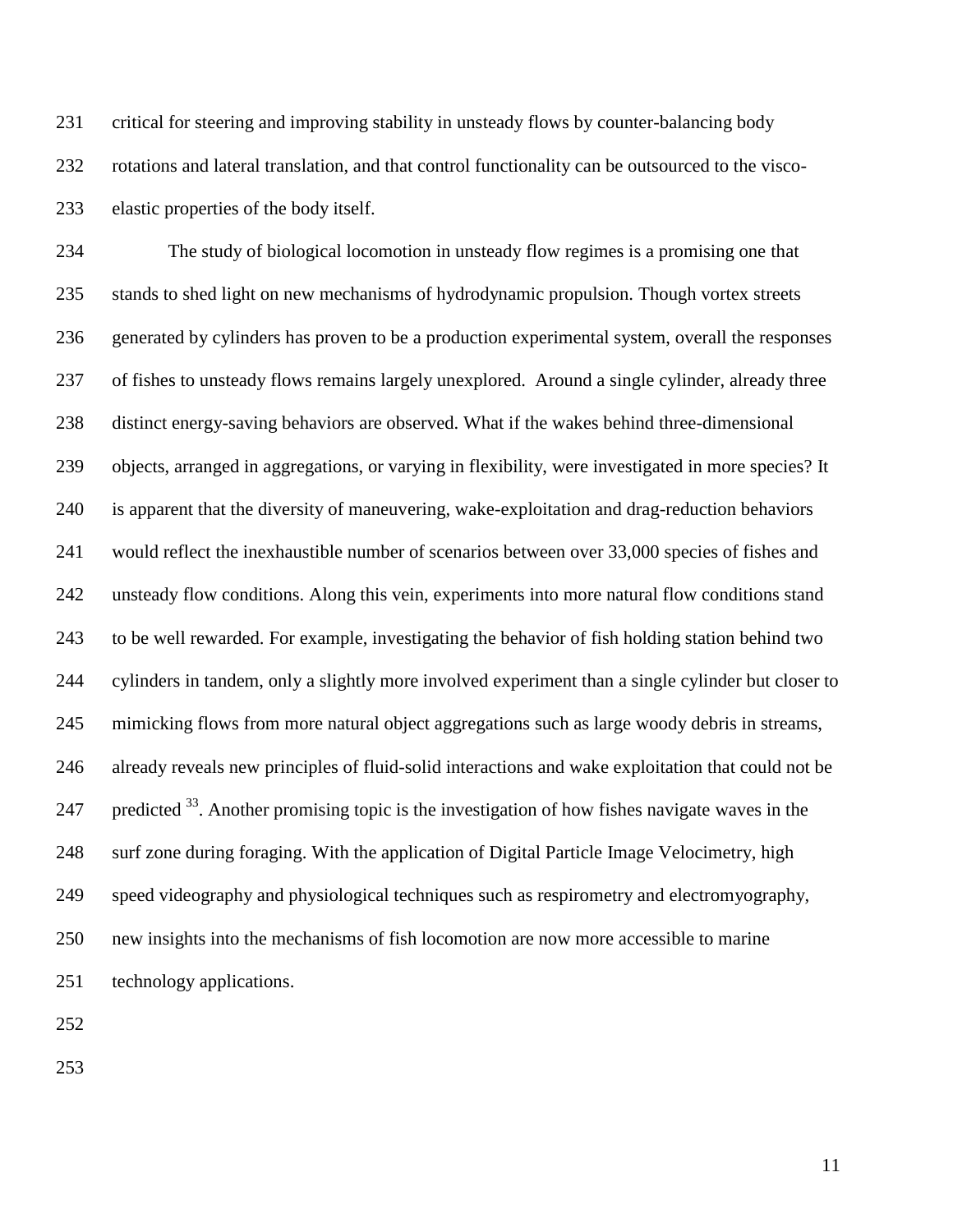critical for steering and improving stability in unsteady flows by counter-balancing body rotations and lateral translation, and that control functionality can be outsourced to the visco-elastic properties of the body itself.

 The study of biological locomotion in unsteady flow regimes is a promising one that stands to shed light on new mechanisms of hydrodynamic propulsion. Though vortex streets generated by cylinders has proven to be a production experimental system, overall the responses of fishes to unsteady flows remains largely unexplored. Around a single cylinder, already three distinct energy-saving behaviors are observed. What if the wakes behind three-dimensional objects, arranged in aggregations, or varying in flexibility, were investigated in more species? It is apparent that the diversity of maneuvering, wake-exploitation and drag-reduction behaviors would reflect the inexhaustible number of scenarios between over 33,000 species of fishes and unsteady flow conditions. Along this vein, experiments into more natural flow conditions stand to be well rewarded. For example, investigating the behavior of fish holding station behind two cylinders in tandem, only a slightly more involved experiment than a single cylinder but closer to mimicking flows from more natural object aggregations such as large woody debris in streams, already reveals new principles of fluid-solid interactions and wake exploitation that could not be 247 predicted . Another promising topic is the investigation of how fishes navigate waves in the surf zone during foraging. With the application of Digital Particle Image Velocimetry, high speed videography and physiological techniques such as respirometry and electromyography, new insights into the mechanisms of fish locomotion are now more accessible to marine technology applications.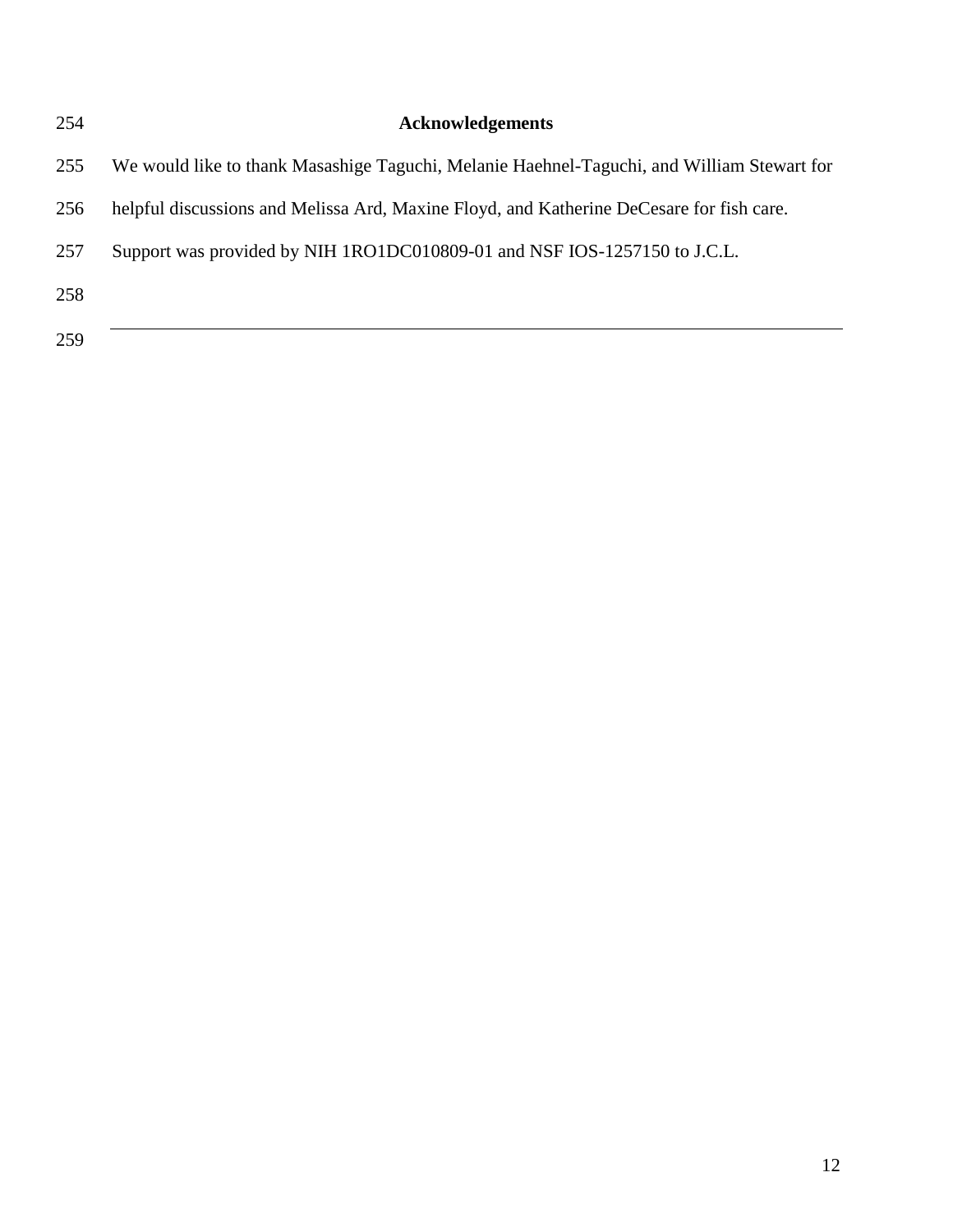| 254 | <b>Acknowledgements</b>                                                                    |
|-----|--------------------------------------------------------------------------------------------|
| 255 | We would like to thank Masashige Taguchi, Melanie Haehnel-Taguchi, and William Stewart for |
| 256 | helpful discussions and Melissa Ard, Maxine Floyd, and Katherine DeCesare for fish care.   |
| 257 | Support was provided by NIH 1RO1DC010809-01 and NSF IOS-1257150 to J.C.L.                  |
| 258 |                                                                                            |
| 259 |                                                                                            |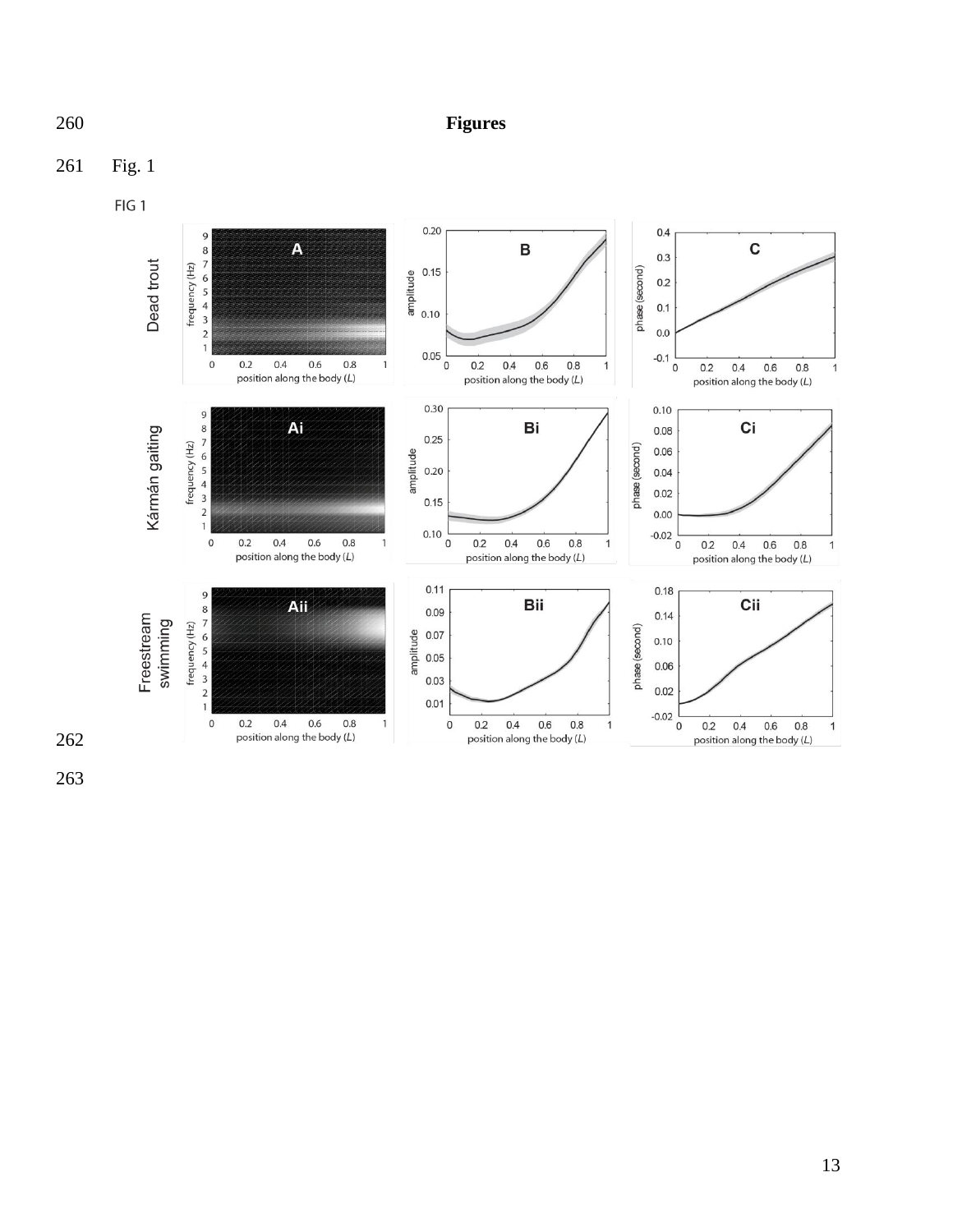# **Figures**







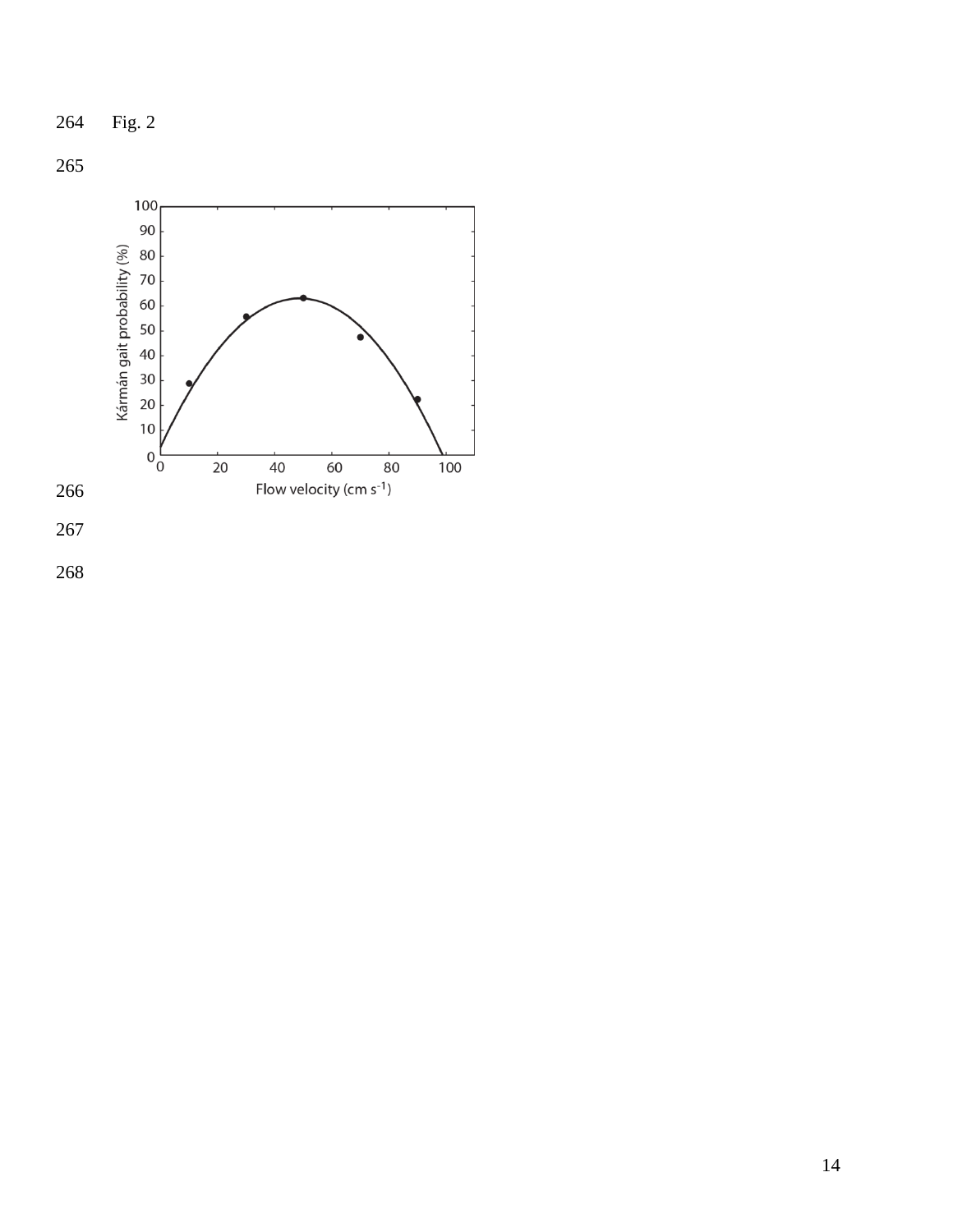

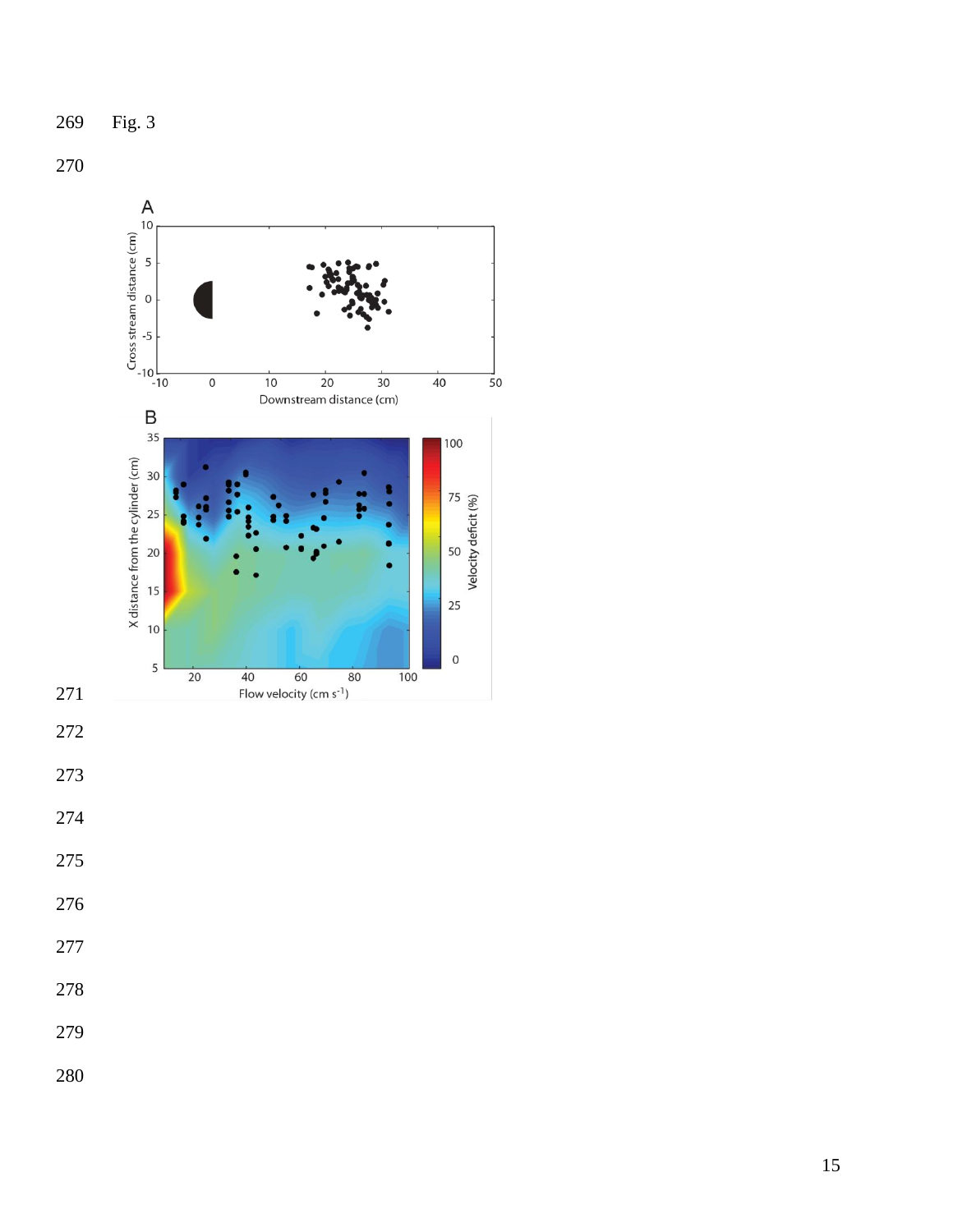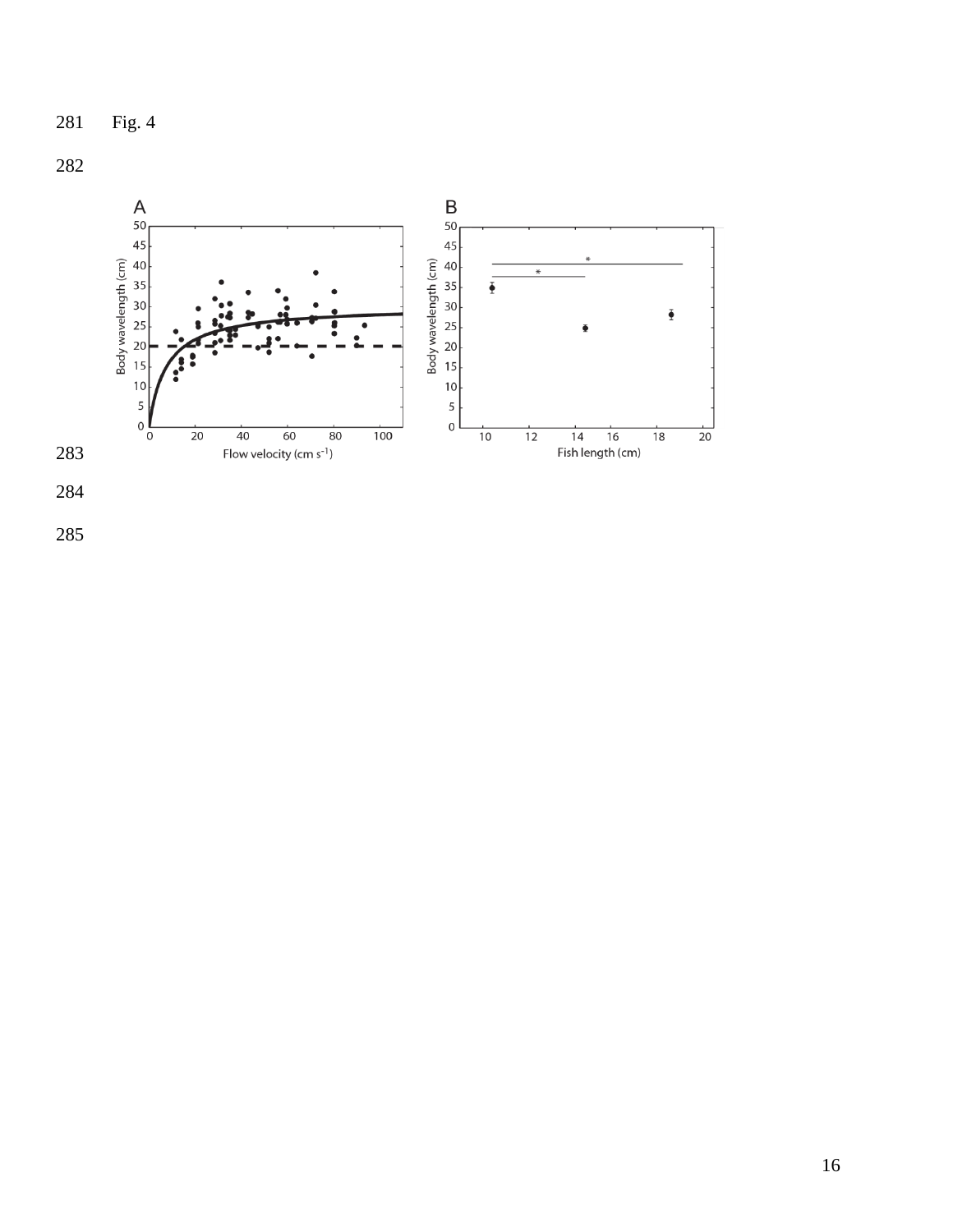

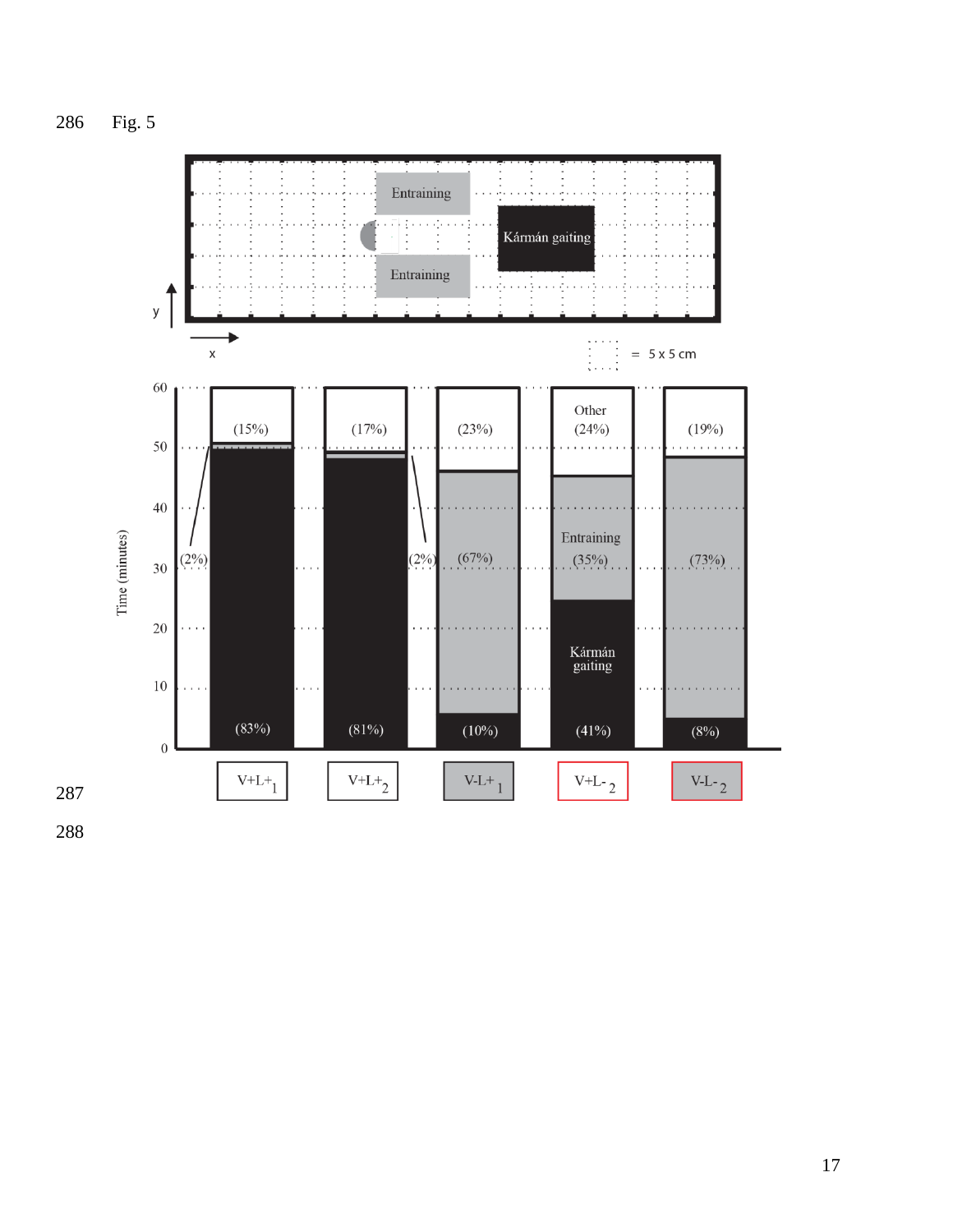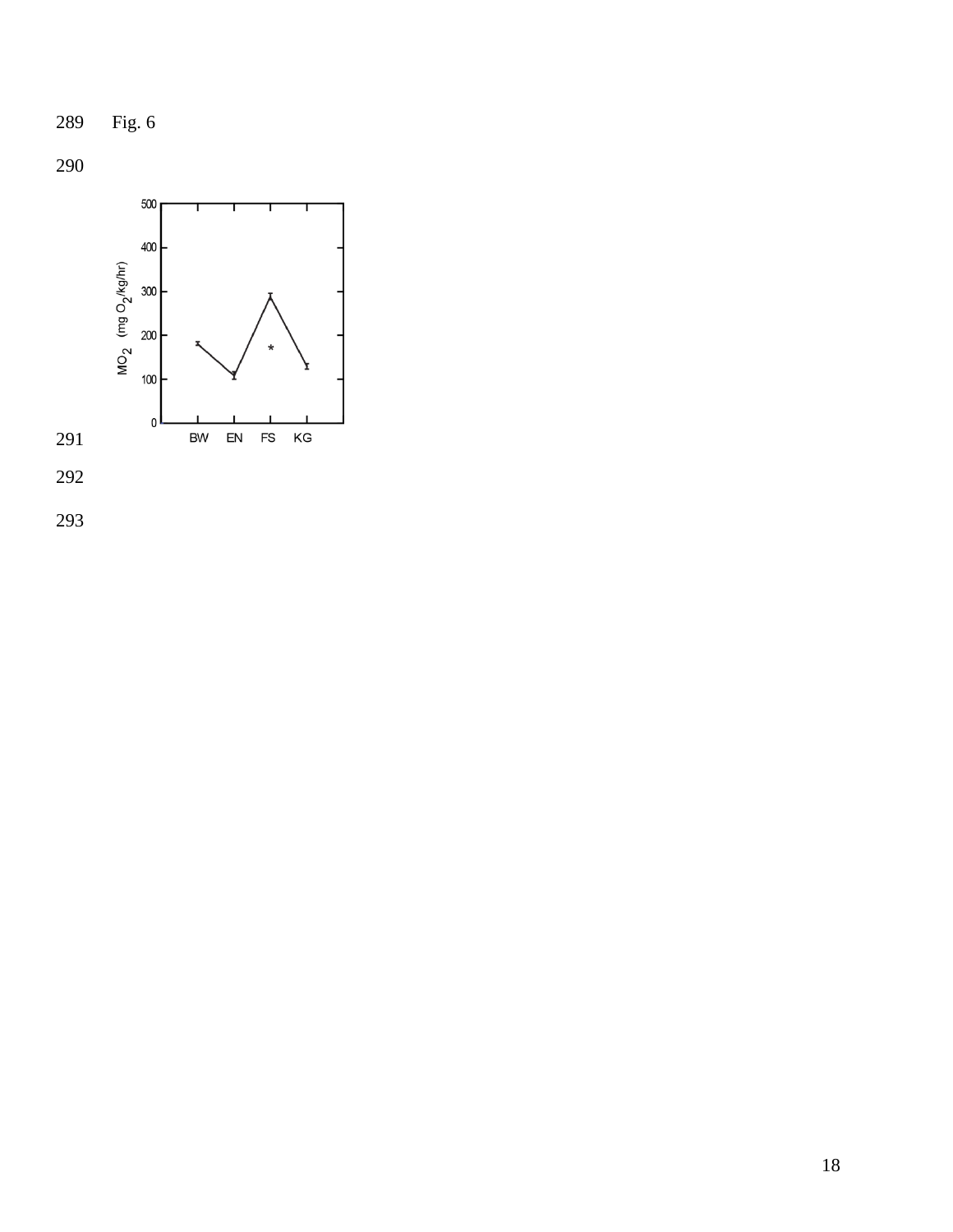

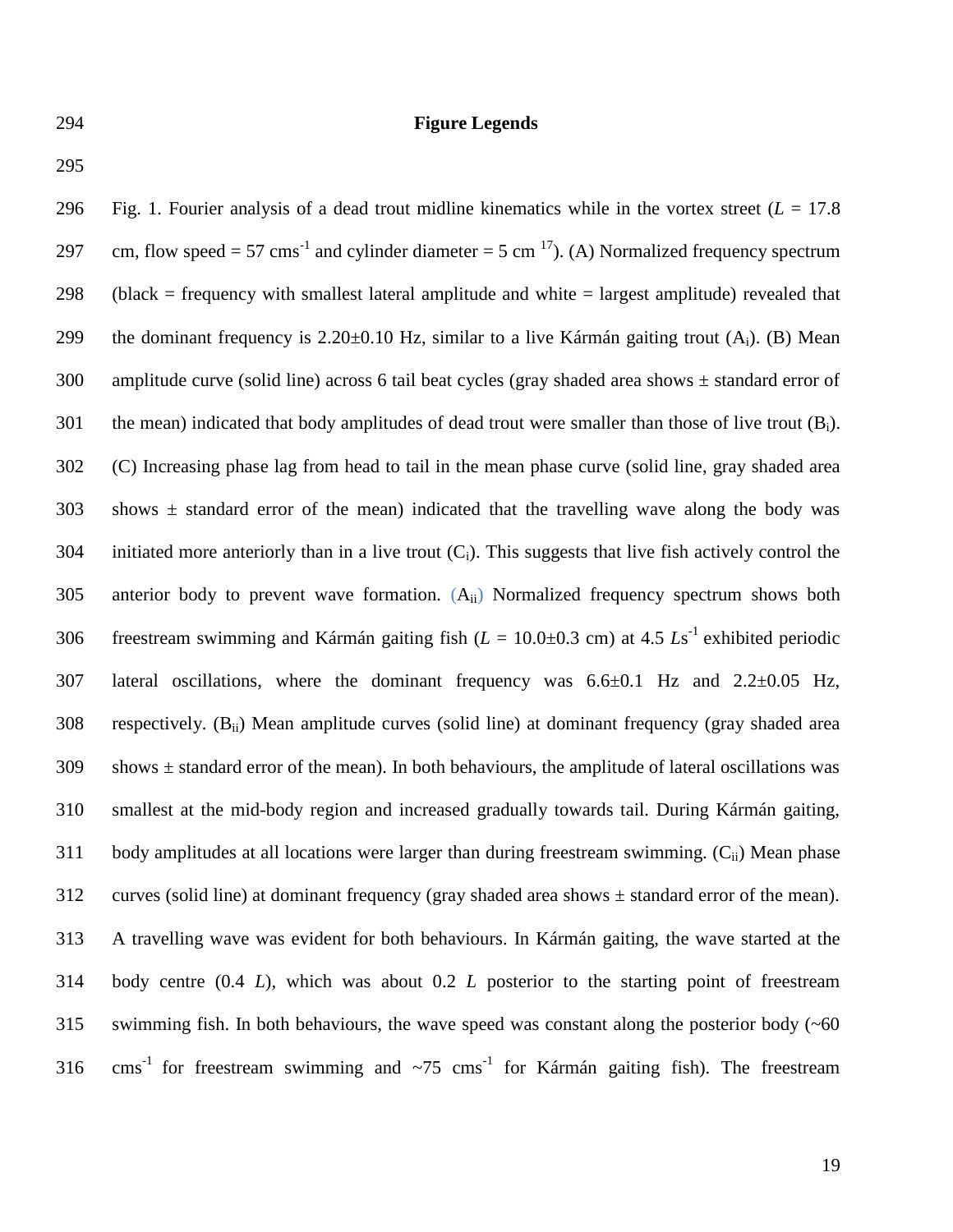## 294 **Figure Legends**

295

296 Fig. 1. Fourier analysis of a dead trout midline kinematics while in the vortex street  $(L = 17.8)$ 297 cm, flow speed = 57 cms<sup>-1</sup> and cylinder diameter = 5 cm <sup>[17](#page-23-0)</sup>). (A) Normalized frequency spectrum 298 (black = frequency with smallest lateral amplitude and white = largest amplitude) revealed that 299 the dominant frequency is  $2.20\pm0.10$  Hz, similar to a live Kármán gaiting trout  $(A_i)$ . (B) Mean 300 amplitude curve (solid line) across 6 tail beat cycles (gray shaded area shows  $\pm$  standard error of 301 the mean) indicated that body amplitudes of dead trout were smaller than those of live trout  $(B_i)$ . 302 (C) Increasing phase lag from head to tail in the mean phase curve (solid line, gray shaded area  $303$  shows  $\pm$  standard error of the mean) indicated that the travelling wave along the body was 304 initiated more anteriorly than in a live trout  $(C_i)$ . This suggests that live fish actively control the 305 anterior body to prevent wave formation.  $(A_{ii})$  Normalized frequency spectrum shows both 306 freestream swimming and Kármán gaiting fish  $(L = 10.0 \pm 0.3 \text{ cm})$  at 4.5  $L\text{s}^{-1}$  exhibited periodic 307 lateral oscillations, where the dominant frequency was 6.6±0.1 Hz and 2.2±0.05 Hz, 308 respectively. (Bii) Mean amplitude curves (solid line) at dominant frequency (gray shaded area  $309$  shows  $\pm$  standard error of the mean). In both behaviours, the amplitude of lateral oscillations was 310 smallest at the mid-body region and increased gradually towards tail. During Kármán gaiting, 311 body amplitudes at all locations were larger than during freestream swimming.  $(C_{ii})$  Mean phase 312 curves (solid line) at dominant frequency (gray shaded area shows  $\pm$  standard error of the mean). 313 A travelling wave was evident for both behaviours. In Kármán gaiting, the wave started at the 314 body centre (0.4 *L*), which was about 0.2 *L* posterior to the starting point of freestream 315 swimming fish. In both behaviours, the wave speed was constant along the posterior body (~60 316  $\text{cms}^{-1}$  for freestream swimming and  $\sim$ 75 cms<sup>-1</sup> for Kármán gaiting fish). The freestream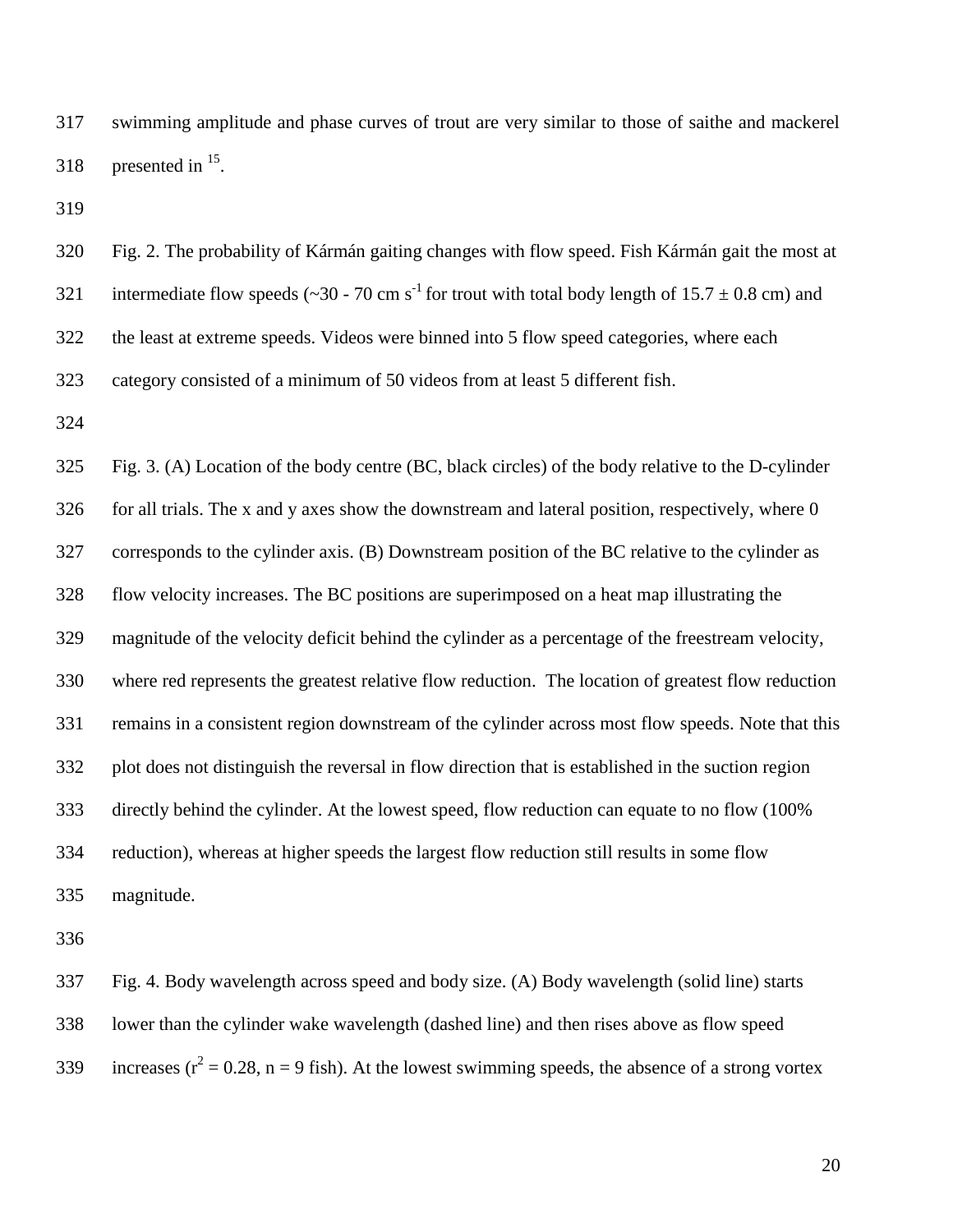swimming amplitude and phase curves of trout are very similar to those of saithe and mackerel 318 presented in .

 Fig. 2. The probability of Kármán gaiting changes with flow speed. Fish Kármán gait the most at 321 intermediate flow speeds ( $\sim$ 30 - 70 cm s<sup>-1</sup> for trout with total body length of 15.7  $\pm$  0.8 cm) and the least at extreme speeds. Videos were binned into 5 flow speed categories, where each category consisted of a minimum of 50 videos from at least 5 different fish.

 Fig. 3. (A) Location of the body centre (BC, black circles) of the body relative to the D-cylinder for all trials. The x and y axes show the downstream and lateral position, respectively, where 0 corresponds to the cylinder axis. (B) Downstream position of the BC relative to the cylinder as flow velocity increases. The BC positions are superimposed on a heat map illustrating the magnitude of the velocity deficit behind the cylinder as a percentage of the freestream velocity, where red represents the greatest relative flow reduction. The location of greatest flow reduction remains in a consistent region downstream of the cylinder across most flow speeds. Note that this plot does not distinguish the reversal in flow direction that is established in the suction region directly behind the cylinder. At the lowest speed, flow reduction can equate to no flow (100% reduction), whereas at higher speeds the largest flow reduction still results in some flow magnitude.

 Fig. 4. Body wavelength across speed and body size. (A) Body wavelength (solid line) starts lower than the cylinder wake wavelength (dashed line) and then rises above as flow speed 339 increases ( $r^2 = 0.28$ , n = 9 fish). At the lowest swimming speeds, the absence of a strong vortex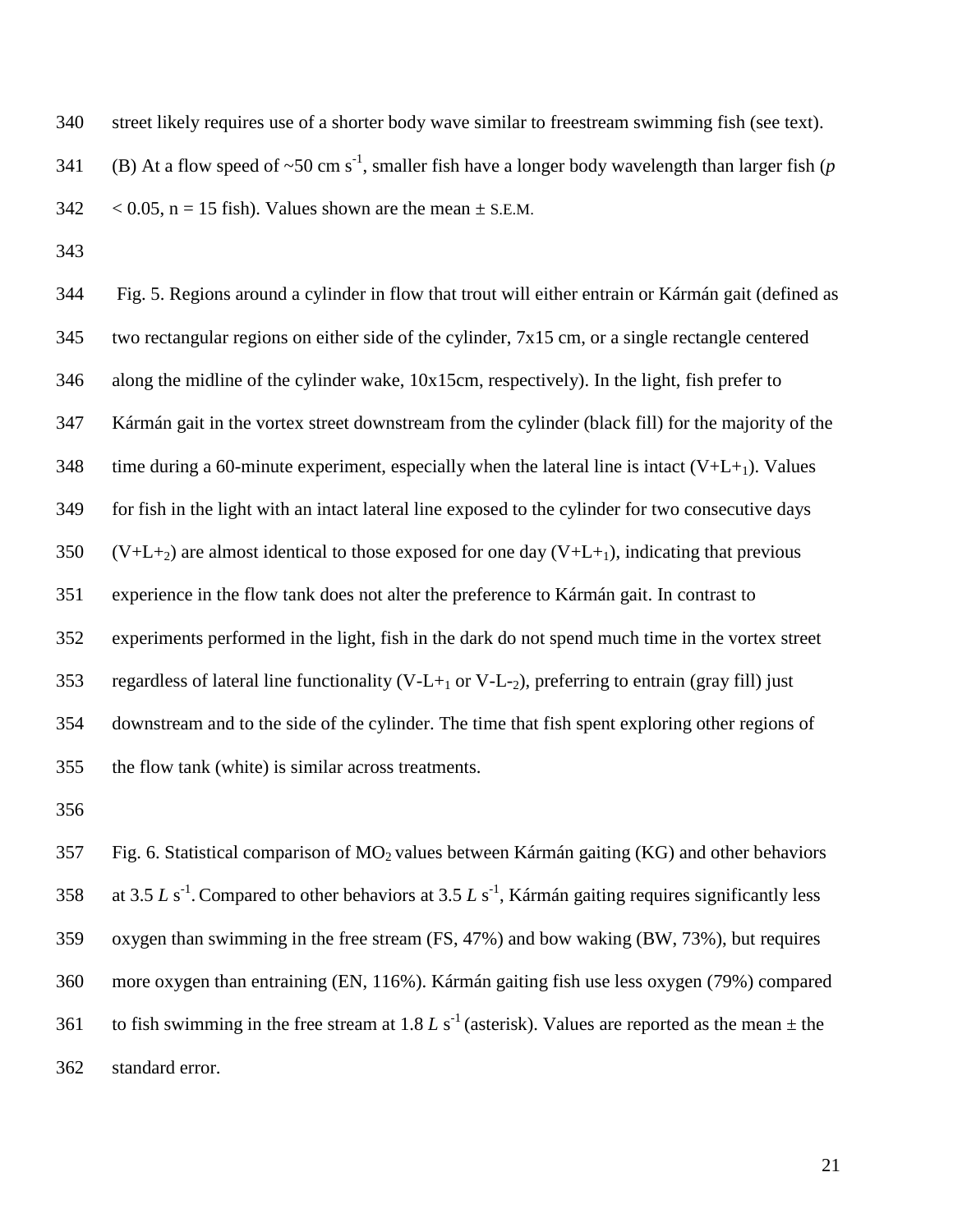street likely requires use of a shorter body wave similar to freestream swimming fish (see text). 341 (B) At a flow speed of  $\sim 50$  cm s<sup>-1</sup>, smaller fish have a longer body wavelength than larger fish (*p*  $342 \div 0.05$ ,  $n = 15$  fish). Values shown are the mean  $\pm$  S.E.M.

 Fig. 5. Regions around a cylinder in flow that trout will either entrain or Kármán gait (defined as two rectangular regions on either side of the cylinder, 7x15 cm, or a single rectangle centered along the midline of the cylinder wake, 10x15cm, respectively). In the light, fish prefer to Kármán gait in the vortex street downstream from the cylinder (black fill) for the majority of the 348 time during a 60-minute experiment, especially when the lateral line is intact  $(V+L+1)$ . Values for fish in the light with an intact lateral line exposed to the cylinder for two consecutive days 350 (V+L+<sub>2</sub>) are almost identical to those exposed for one day (V+L+<sub>1</sub>), indicating that previous experience in the flow tank does not alter the preference to Kármán gait. In contrast to experiments performed in the light, fish in the dark do not spend much time in the vortex street 353 regardless of lateral line functionality (V-L+ $_1$  or V-L- $_2$ ), preferring to entrain (gray fill) just downstream and to the side of the cylinder. The time that fish spent exploring other regions of the flow tank (white) is similar across treatments.

 Fig. 6. Statistical comparison of MO<sup>2</sup> values between Kármán gaiting (KG) and other behaviors 358 at 3.5 *L* s<sup>-1</sup>. Compared to other behaviors at 3.5 *L* s<sup>-1</sup>, Kármán gaiting requires significantly less oxygen than swimming in the free stream (FS, 47%) and bow waking (BW, 73%), but requires more oxygen than entraining (EN, 116%). Kármán gaiting fish use less oxygen (79%) compared 361 to fish swimming in the free stream at  $1.8 L s^{-1}$  (asterisk). Values are reported as the mean  $\pm$  the standard error.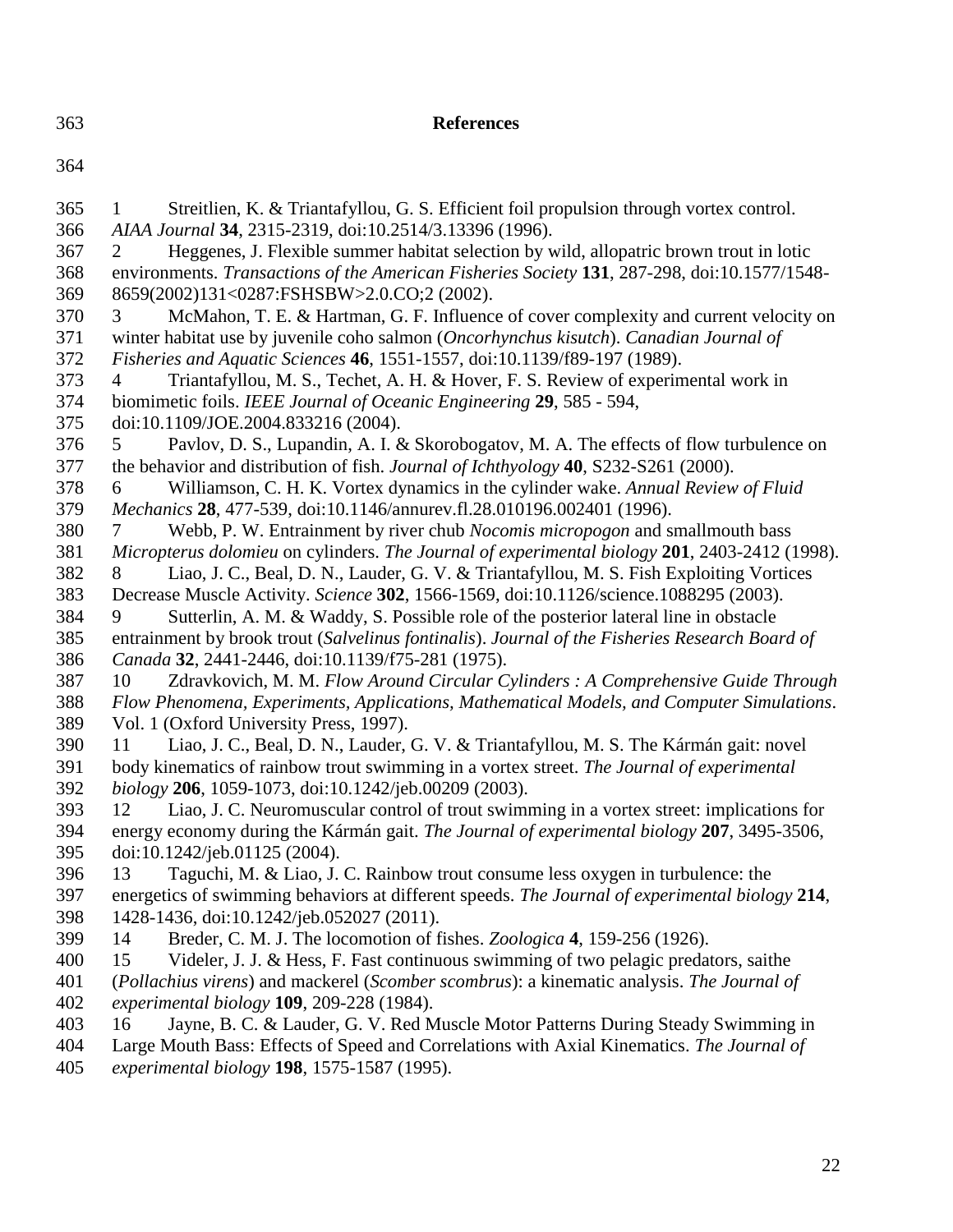### **References**

<span id="page-22-10"></span><span id="page-22-9"></span><span id="page-22-8"></span><span id="page-22-7"></span><span id="page-22-6"></span><span id="page-22-5"></span><span id="page-22-4"></span><span id="page-22-3"></span><span id="page-22-2"></span><span id="page-22-1"></span><span id="page-22-0"></span> 1 Streitlien, K. & Triantafyllou, G. S. Efficient foil propulsion through vortex control. *AIAA Journal* **34**, 2315-2319, doi:10.2514/3.13396 (1996). 2 Heggenes, J. Flexible summer habitat selection by wild, allopatric brown trout in lotic environments. *Transactions of the American Fisheries Society* **131**, 287-298, doi:10.1577/1548- 8659(2002)131<0287:FSHSBW>2.0.CO;2 (2002). 3 McMahon, T. E. & Hartman, G. F. Influence of cover complexity and current velocity on winter habitat use by juvenile coho salmon (*Oncorhynchus kisutch*). *Canadian Journal of Fisheries and Aquatic Sciences* **46**, 1551-1557, doi:10.1139/f89-197 (1989). 4 Triantafyllou, M. S., Techet, A. H. & Hover, F. S. Review of experimental work in biomimetic foils. *IEEE Journal of Oceanic Engineering* **29**, 585 - 594, doi:10.1109/JOE.2004.833216 (2004). 5 Pavlov, D. S., Lupandin, A. I. & Skorobogatov, M. A. The effects of flow turbulence on the behavior and distribution of fish. *Journal of Ichthyology* **40**, S232-S261 (2000). 6 Williamson, C. H. K. Vortex dynamics in the cylinder wake. *Annual Review of Fluid Mechanics* **28**, 477-539, doi:10.1146/annurev.fl.28.010196.002401 (1996). 7 Webb, P. W. Entrainment by river chub *Nocomis micropogon* and smallmouth bass *Micropterus dolomieu* on cylinders. *The Journal of experimental biology* **201**, 2403-2412 (1998). 8 Liao, J. C., Beal, D. N., Lauder, G. V. & Triantafyllou, M. S. Fish Exploiting Vortices Decrease Muscle Activity. *Science* **302**, 1566-1569, doi:10.1126/science.1088295 (2003). 9 Sutterlin, A. M. & Waddy, S. Possible role of the posterior lateral line in obstacle entrainment by brook trout (*Salvelinus fontinalis*). *Journal of the Fisheries Research Board of Canada* **32**, 2441-2446, doi:10.1139/f75-281 (1975). 10 Zdravkovich, M. M. *Flow Around Circular Cylinders : A Comprehensive Guide Through Flow Phenomena, Experiments, Applications, Mathematical Models, and Computer Simulations*. Vol. 1 (Oxford University Press, 1997). 11 Liao, J. C., Beal, D. N., Lauder, G. V. & Triantafyllou, M. S. The Kármán gait: novel body kinematics of rainbow trout swimming in a vortex street. *The Journal of experimental biology* **206**, 1059-1073, doi:10.1242/jeb.00209 (2003). 12 Liao, J. C. Neuromuscular control of trout swimming in a vortex street: implications for energy economy during the Kármán gait. *The Journal of experimental biology* **207**, 3495-3506, doi:10.1242/jeb.01125 (2004). 13 Taguchi, M. & Liao, J. C. Rainbow trout consume less oxygen in turbulence: the energetics of swimming behaviors at different speeds. *The Journal of experimental biology* **214**, 1428-1436, doi:10.1242/jeb.052027 (2011). 14 Breder, C. M. J. The locomotion of fishes. *Zoologica* **4**, 159-256 (1926). 15 Videler, J. J. & Hess, F. Fast continuous swimming of two pelagic predators, saithe (*Pollachius virens*) and mackerel (*Scomber scombrus*): a kinematic analysis. *The Journal of experimental biology* **109**, 209-228 (1984). 16 Jayne, B. C. & Lauder, G. V. Red Muscle Motor Patterns During Steady Swimming in Large Mouth Bass: Effects of Speed and Correlations with Axial Kinematics. *The Journal of experimental biology* **198**, 1575-1587 (1995).